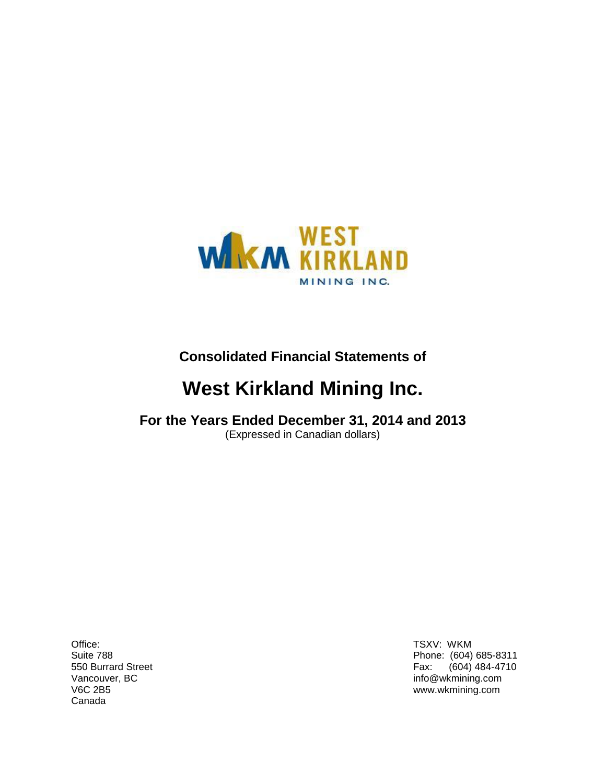

**Consolidated Financial Statements of**

# **West Kirkland Mining Inc.**

# **For the Years Ended December 31, 2014 and 2013** (Expressed in Canadian dollars)

Office: TSXV: WKM Canada

Suite 788 Phone: (604) 685-8311 550 Burrard Street Fax: (604) 484-4710 Vancouver, BC info@wkmining.com V6C 2B5 www.wkmining.com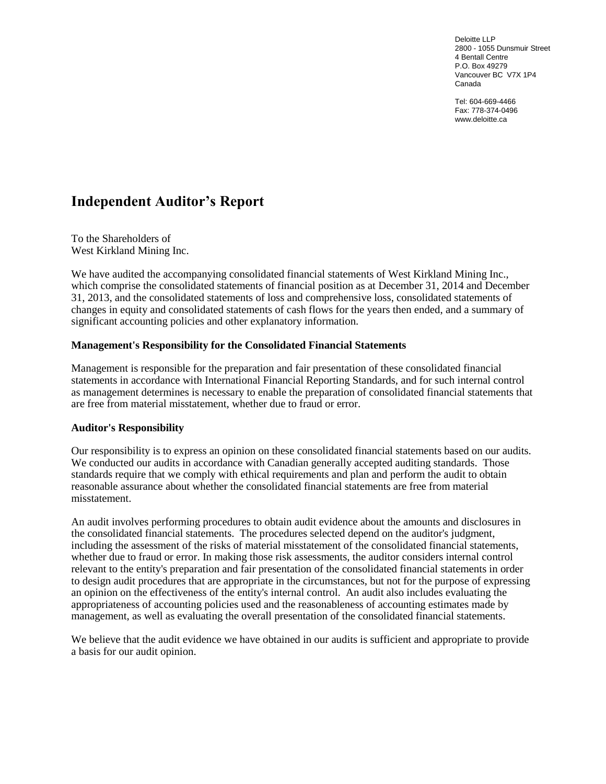Deloitte LLP 2800 - 1055 Dunsmuir Street 4 Bentall Centre P.O. Box 49279 Vancouver BC V7X 1P4 Canada

Tel: 604-669-4466 Fax: 778-374-0496 www.deloitte.ca

# **Independent Auditor's Report**

To the Shareholders of West Kirkland Mining Inc.

We have audited the accompanying consolidated financial statements of West Kirkland Mining Inc., which comprise the consolidated statements of financial position as at December 31, 2014 and December 31, 2013, and the consolidated statements of loss and comprehensive loss, consolidated statements of changes in equity and consolidated statements of cash flows for the years then ended, and a summary of significant accounting policies and other explanatory information.

## **Management's Responsibility for the Consolidated Financial Statements**

Management is responsible for the preparation and fair presentation of these consolidated financial statements in accordance with International Financial Reporting Standards, and for such internal control as management determines is necessary to enable the preparation of consolidated financial statements that are free from material misstatement, whether due to fraud or error.

### **Auditor's Responsibility**

Our responsibility is to express an opinion on these consolidated financial statements based on our audits. We conducted our audits in accordance with Canadian generally accepted auditing standards. Those standards require that we comply with ethical requirements and plan and perform the audit to obtain reasonable assurance about whether the consolidated financial statements are free from material misstatement.

An audit involves performing procedures to obtain audit evidence about the amounts and disclosures in the consolidated financial statements. The procedures selected depend on the auditor's judgment, including the assessment of the risks of material misstatement of the consolidated financial statements, whether due to fraud or error. In making those risk assessments, the auditor considers internal control relevant to the entity's preparation and fair presentation of the consolidated financial statements in order to design audit procedures that are appropriate in the circumstances, but not for the purpose of expressing an opinion on the effectiveness of the entity's internal control. An audit also includes evaluating the appropriateness of accounting policies used and the reasonableness of accounting estimates made by management, as well as evaluating the overall presentation of the consolidated financial statements.

We believe that the audit evidence we have obtained in our audits is sufficient and appropriate to provide a basis for our audit opinion.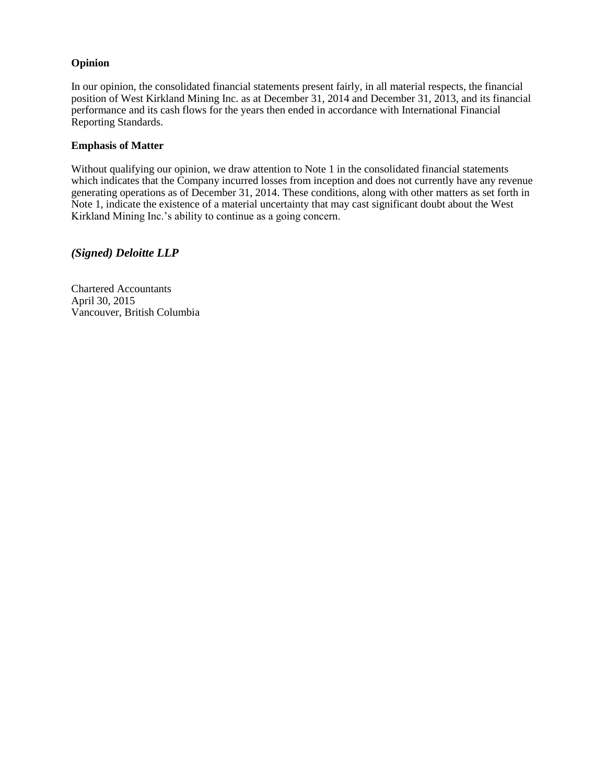### **Opinion**

In our opinion, the consolidated financial statements present fairly, in all material respects, the financial position of West Kirkland Mining Inc. as at December 31, 2014 and December 31, 2013, and its financial performance and its cash flows for the years then ended in accordance with International Financial Reporting Standards.

### **Emphasis of Matter**

Without qualifying our opinion, we draw attention to Note 1 in the consolidated financial statements which indicates that the Company incurred losses from inception and does not currently have any revenue generating operations as of December 31, 2014. These conditions, along with other matters as set forth in Note 1, indicate the existence of a material uncertainty that may cast significant doubt about the West Kirkland Mining Inc.'s ability to continue as a going concern.

# *(Signed) Deloitte LLP*

Chartered Accountants April 30, 2015 Vancouver, British Columbia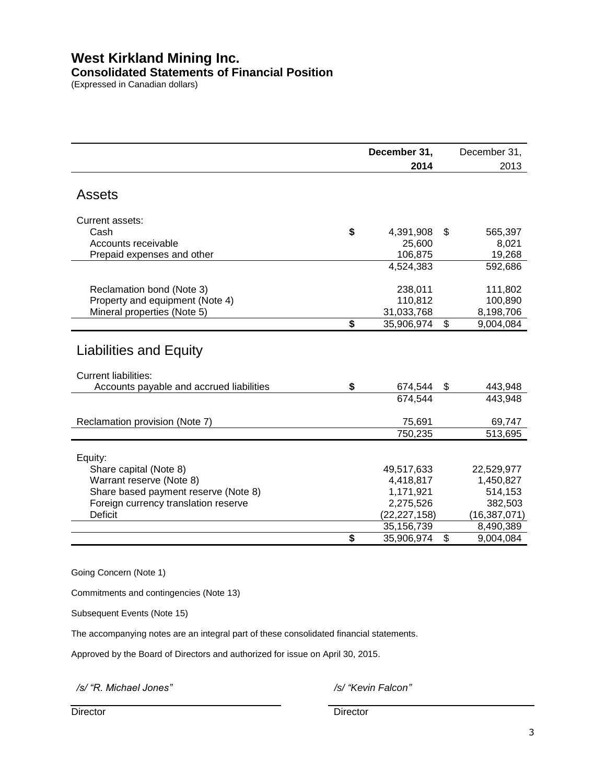# **West Kirkland Mining Inc. Consolidated Statements of Financial Position**

(Expressed in Canadian dollars)

|                                                | December 31,   | December 31,    |
|------------------------------------------------|----------------|-----------------|
|                                                | 2014           | 2013            |
|                                                |                |                 |
| <b>Assets</b>                                  |                |                 |
|                                                |                |                 |
| Current assets:                                |                |                 |
| Cash<br>\$                                     | 4,391,908      | \$<br>565,397   |
| Accounts receivable                            | 25,600         | 8,021           |
| Prepaid expenses and other                     | 106,875        | 19,268          |
|                                                | 4,524,383      | 592,686         |
|                                                |                |                 |
| Reclamation bond (Note 3)                      | 238,011        | 111,802         |
| Property and equipment (Note 4)                | 110,812        | 100,890         |
| Mineral properties (Note 5)                    | 31,033,768     | 8,198,706       |
| \$                                             | 35,906,974     | \$<br>9,004,084 |
|                                                |                |                 |
| <b>Liabilities and Equity</b>                  |                |                 |
|                                                |                |                 |
| <b>Current liabilities:</b>                    |                |                 |
| \$<br>Accounts payable and accrued liabilities | 674,544        | \$<br>443,948   |
|                                                | 674,544        | 443,948         |
|                                                |                |                 |
| Reclamation provision (Note 7)                 | 75,691         | 69,747          |
|                                                | 750,235        | 513,695         |
|                                                |                |                 |
| Equity:                                        |                |                 |
| Share capital (Note 8)                         | 49,517,633     | 22,529,977      |
| Warrant reserve (Note 8)                       | 4,418,817      | 1,450,827       |
| Share based payment reserve (Note 8)           | 1,171,921      | 514,153         |
| Foreign currency translation reserve           | 2,275,526      | 382,503         |
| <b>Deficit</b>                                 | (22, 227, 158) | (16, 387, 071)  |
|                                                | 35,156,739     | 8,490,389       |
| \$                                             | 35,906,974     | \$<br>9,004,084 |
|                                                |                |                 |

Going Concern (Note 1)

Commitments and contingencies (Note 13)

Subsequent Events (Note 15)

The accompanying notes are an integral part of these consolidated financial statements.

Approved by the Board of Directors and authorized for issue on April 30, 2015.

*/s/ "R. Michael Jones" /s/ "Kevin Falcon"*

Director **Director**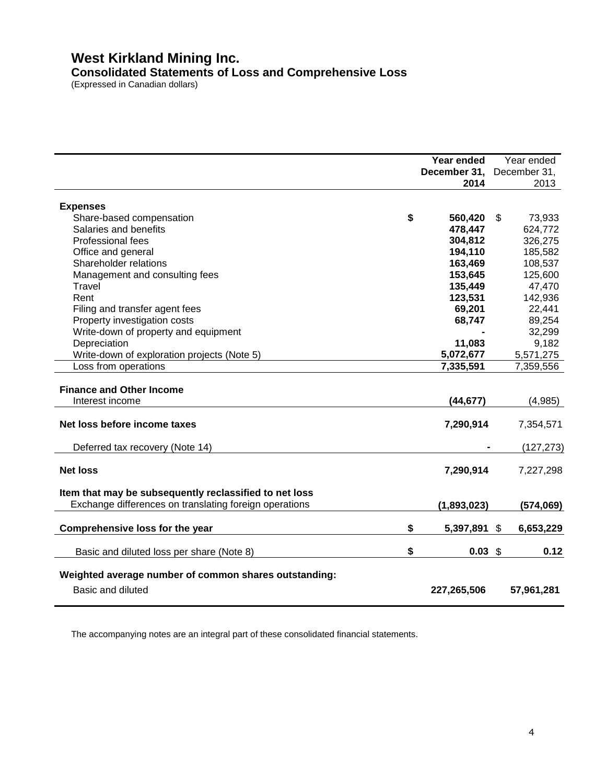# **West Kirkland Mining Inc. Consolidated Statements of Loss and Comprehensive Loss**

(Expressed in Canadian dollars)

|                                                        | Year ended                | Year ended   |
|--------------------------------------------------------|---------------------------|--------------|
|                                                        | December 31, December 31, |              |
|                                                        | 2014                      | 2013         |
|                                                        |                           |              |
| <b>Expenses</b>                                        |                           |              |
| Share-based compensation                               | \$<br>560,420             | \$<br>73,933 |
| Salaries and benefits                                  | 478,447                   | 624,772      |
| Professional fees                                      | 304,812                   | 326,275      |
| Office and general                                     | 194,110                   | 185,582      |
| Shareholder relations                                  | 163,469                   | 108,537      |
| Management and consulting fees                         | 153,645                   | 125,600      |
| Travel                                                 | 135,449                   | 47,470       |
| Rent                                                   | 123,531                   | 142,936      |
| Filing and transfer agent fees                         | 69,201                    | 22,441       |
| Property investigation costs                           | 68,747                    | 89,254       |
| Write-down of property and equipment                   |                           | 32,299       |
| Depreciation                                           | 11,083                    | 9,182        |
| Write-down of exploration projects (Note 5)            | 5,072,677                 | 5,571,275    |
| Loss from operations                                   | 7,335,591                 | 7,359,556    |
|                                                        |                           |              |
| <b>Finance and Other Income</b>                        |                           |              |
| Interest income                                        | (44, 677)                 | (4,985)      |
|                                                        |                           |              |
| Net loss before income taxes                           | 7,290,914                 | 7,354,571    |
| Deferred tax recovery (Note 14)                        |                           | (127, 273)   |
|                                                        |                           |              |
| <b>Net loss</b>                                        | 7,290,914                 | 7,227,298    |
|                                                        |                           |              |
| Item that may be subsequently reclassified to net loss |                           |              |
| Exchange differences on translating foreign operations | (1,893,023)               | (574,069)    |
|                                                        |                           |              |
| Comprehensive loss for the year                        | \$<br>5,397,891 \$        | 6,653,229    |
| Basic and diluted loss per share (Note 8)              | \$<br>$0.03$ \$           | 0.12         |
|                                                        |                           |              |
| Weighted average number of common shares outstanding:  |                           |              |
| Basic and diluted                                      | 227,265,506               | 57,961,281   |
|                                                        |                           |              |

The accompanying notes are an integral part of these consolidated financial statements.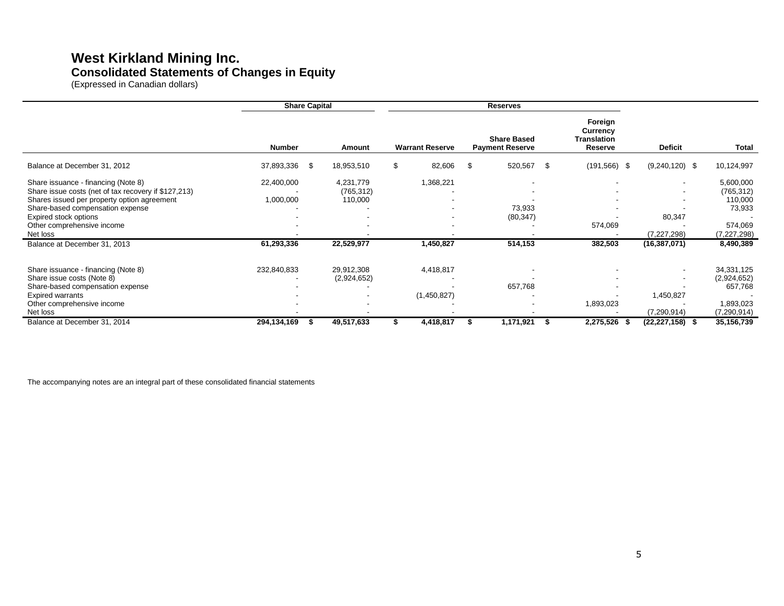# **West Kirkland Mining Inc. Consolidated Statements of Changes in Equity**

(Expressed in Canadian dollars)

|                                                                                                                                                                                                                                                                                   | <b>Share Capital</b>                  |     |                                                  | <b>Reserves</b> |                          |    |                                              |    |                                                      |  |                                           |                                                                                       |
|-----------------------------------------------------------------------------------------------------------------------------------------------------------------------------------------------------------------------------------------------------------------------------------|---------------------------------------|-----|--------------------------------------------------|-----------------|--------------------------|----|----------------------------------------------|----|------------------------------------------------------|--|-------------------------------------------|---------------------------------------------------------------------------------------|
|                                                                                                                                                                                                                                                                                   | <b>Number</b>                         |     | Amount                                           |                 | <b>Warrant Reserve</b>   |    | <b>Share Based</b><br><b>Payment Reserve</b> |    | Foreign<br>Currency<br><b>Translation</b><br>Reserve |  | <b>Deficit</b>                            | <b>Total</b>                                                                          |
| Balance at December 31, 2012                                                                                                                                                                                                                                                      | 37,893,336                            | \$. | 18,953,510                                       | \$              | 82,606                   | \$ | 520,567                                      | \$ | $(191, 566)$ \$                                      |  | $(9,240,120)$ \$                          | 10,124,997                                                                            |
| Share issuance - financing (Note 8)<br>Share issue costs (net of tax recovery if \$127,213)<br>Shares issued per property option agreement<br>Share-based compensation expense<br>Expired stock options<br>Other comprehensive income<br>Net loss<br>Balance at December 31, 2013 | 22,400,000<br>1,000,000<br>61,293,336 |     | 4,231,779<br>(765, 312)<br>110,000<br>22,529,977 |                 | 1,368,221<br>1,450,827   |    | 73,933<br>(80, 347)<br>514,153               |    | 574,069<br>382,503                                   |  | 80,347<br>(7, 227, 298)<br>(16, 387, 071) | 5,600,000<br>(765, 312)<br>110,000<br>73,933<br>574,069<br>(7, 227, 298)<br>8,490,389 |
| Share issuance - financing (Note 8)<br>Share issue costs (Note 8)<br>Share-based compensation expense<br><b>Expired warrants</b><br>Other comprehensive income<br>Net loss                                                                                                        | 232,840,833                           |     | 29,912,308<br>(2,924,652)                        |                 | 4,418,817<br>(1,450,827) |    | 657,768                                      |    | 1,893,023                                            |  | 1,450,827<br>(7, 290, 914)                | 34,331,125<br>(2,924,652)<br>657,768<br>1,893,023<br>(7, 290, 914)                    |
| Balance at December 31, 2014                                                                                                                                                                                                                                                      | 294,134,169                           |     | 49,517,633                                       |                 | 4,418,817                |    | 1,171,921                                    |    | 2,275,526                                            |  | $(22, 227, 158)$ \$                       | 35, 156, 739                                                                          |

The accompanying notes are an integral part of these consolidated financial statements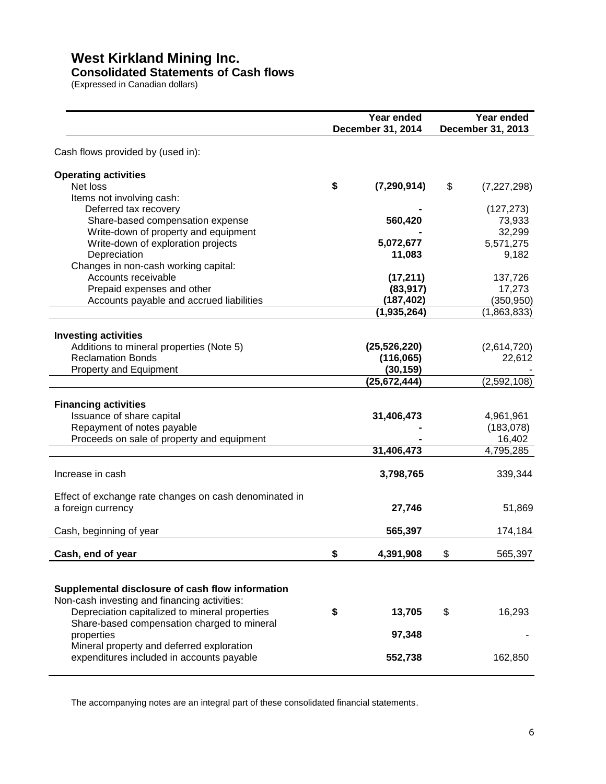## **Consolidated Statements of Cash flows**

(Expressed in Canadian dollars)

|                                                        |    | Year ended        | Year ended |                   |  |  |
|--------------------------------------------------------|----|-------------------|------------|-------------------|--|--|
|                                                        |    | December 31, 2014 |            | December 31, 2013 |  |  |
| Cash flows provided by (used in):                      |    |                   |            |                   |  |  |
| <b>Operating activities</b>                            |    |                   |            |                   |  |  |
| Net loss                                               | \$ | (7, 290, 914)     | \$         | (7,227,298)       |  |  |
| Items not involving cash:                              |    |                   |            |                   |  |  |
| Deferred tax recovery                                  |    |                   |            | (127, 273)        |  |  |
| Share-based compensation expense                       |    | 560,420           |            | 73,933            |  |  |
| Write-down of property and equipment                   |    |                   |            | 32,299            |  |  |
| Write-down of exploration projects                     |    | 5,072,677         |            | 5,571,275         |  |  |
| Depreciation                                           |    | 11,083            |            | 9,182             |  |  |
| Changes in non-cash working capital:                   |    |                   |            |                   |  |  |
| Accounts receivable                                    |    | (17, 211)         |            | 137,726           |  |  |
| Prepaid expenses and other                             |    | (83, 917)         |            | 17,273            |  |  |
| Accounts payable and accrued liabilities               |    | (187, 402)        |            | (350, 950)        |  |  |
|                                                        |    | (1,935,264)       |            | (1,863,833)       |  |  |
| <b>Investing activities</b>                            |    |                   |            |                   |  |  |
| Additions to mineral properties (Note 5)               |    | (25, 526, 220)    |            | (2,614,720)       |  |  |
| <b>Reclamation Bonds</b>                               |    | (116,065)         |            | 22,612            |  |  |
| <b>Property and Equipment</b>                          |    | (30, 159)         |            |                   |  |  |
|                                                        |    | (25, 672, 444)    |            | (2,592,108)       |  |  |
|                                                        |    |                   |            |                   |  |  |
| <b>Financing activities</b>                            |    |                   |            |                   |  |  |
| Issuance of share capital                              |    | 31,406,473        |            | 4,961,961         |  |  |
| Repayment of notes payable                             |    |                   |            | (183,078)         |  |  |
| Proceeds on sale of property and equipment             |    |                   |            | 16,402            |  |  |
|                                                        |    | 31,406,473        |            | 4,795,285         |  |  |
| Increase in cash                                       |    | 3,798,765         |            | 339,344           |  |  |
|                                                        |    |                   |            |                   |  |  |
| Effect of exchange rate changes on cash denominated in |    |                   |            |                   |  |  |
| a foreign currency                                     |    | 27,746            |            | 51,869            |  |  |
|                                                        |    |                   |            |                   |  |  |
| Cash, beginning of year                                |    | 565,397           |            | 174,184           |  |  |
| Cash, end of year                                      | Þ  | 4,391,908         | \$         | 565,397           |  |  |
|                                                        |    |                   |            |                   |  |  |
|                                                        |    |                   |            |                   |  |  |
| Supplemental disclosure of cash flow information       |    |                   |            |                   |  |  |
| Non-cash investing and financing activities:           |    |                   |            |                   |  |  |
| Depreciation capitalized to mineral properties         | \$ | 13,705            | \$         | 16,293            |  |  |
| Share-based compensation charged to mineral            |    |                   |            |                   |  |  |
| properties                                             |    | 97,348            |            |                   |  |  |
| Mineral property and deferred exploration              |    |                   |            | 162,850           |  |  |
| expenditures included in accounts payable              |    | 552,738           |            |                   |  |  |
|                                                        |    |                   |            |                   |  |  |

The accompanying notes are an integral part of these consolidated financial statements.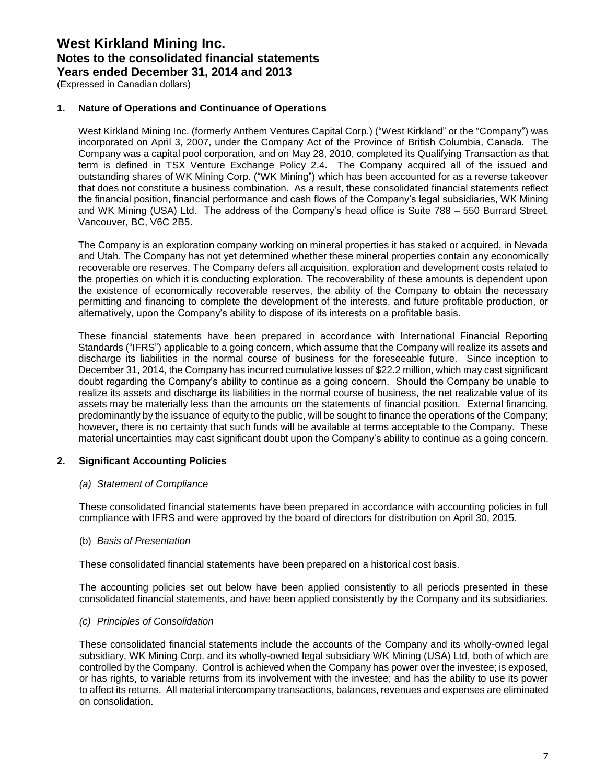### **1. Nature of Operations and Continuance of Operations**

West Kirkland Mining Inc. (formerly Anthem Ventures Capital Corp.) ("West Kirkland" or the "Company") was incorporated on April 3, 2007, under the Company Act of the Province of British Columbia, Canada. The Company was a capital pool corporation, and on May 28, 2010, completed its Qualifying Transaction as that term is defined in TSX Venture Exchange Policy 2.4. The Company acquired all of the issued and outstanding shares of WK Mining Corp. ("WK Mining") which has been accounted for as a reverse takeover that does not constitute a business combination. As a result, these consolidated financial statements reflect the financial position, financial performance and cash flows of the Company's legal subsidiaries, WK Mining and WK Mining (USA) Ltd. The address of the Company's head office is Suite 788 – 550 Burrard Street, Vancouver, BC, V6C 2B5.

The Company is an exploration company working on mineral properties it has staked or acquired, in Nevada and Utah. The Company has not yet determined whether these mineral properties contain any economically recoverable ore reserves. The Company defers all acquisition, exploration and development costs related to the properties on which it is conducting exploration. The recoverability of these amounts is dependent upon the existence of economically recoverable reserves, the ability of the Company to obtain the necessary permitting and financing to complete the development of the interests, and future profitable production, or alternatively, upon the Company's ability to dispose of its interests on a profitable basis.

These financial statements have been prepared in accordance with International Financial Reporting Standards ("IFRS") applicable to a going concern, which assume that the Company will realize its assets and discharge its liabilities in the normal course of business for the foreseeable future. Since inception to December 31, 2014, the Company has incurred cumulative losses of \$22.2 million, which may cast significant doubt regarding the Company's ability to continue as a going concern. Should the Company be unable to realize its assets and discharge its liabilities in the normal course of business, the net realizable value of its assets may be materially less than the amounts on the statements of financial position. External financing, predominantly by the issuance of equity to the public, will be sought to finance the operations of the Company; however, there is no certainty that such funds will be available at terms acceptable to the Company. These material uncertainties may cast significant doubt upon the Company's ability to continue as a going concern.

#### **2. Significant Accounting Policies**

#### *(a) Statement of Compliance*

These consolidated financial statements have been prepared in accordance with accounting policies in full compliance with IFRS and were approved by the board of directors for distribution on April 30, 2015.

#### (b) *Basis of Presentation*

These consolidated financial statements have been prepared on a historical cost basis.

The accounting policies set out below have been applied consistently to all periods presented in these consolidated financial statements, and have been applied consistently by the Company and its subsidiaries.

#### *(c) Principles of Consolidation*

These consolidated financial statements include the accounts of the Company and its wholly-owned legal subsidiary, WK Mining Corp. and its wholly-owned legal subsidiary WK Mining (USA) Ltd, both of which are controlled by the Company. Control is achieved when the Company has power over the investee; is exposed, or has rights, to variable returns from its involvement with the investee; and has the ability to use its power to affect its returns. All material intercompany transactions, balances, revenues and expenses are eliminated on consolidation.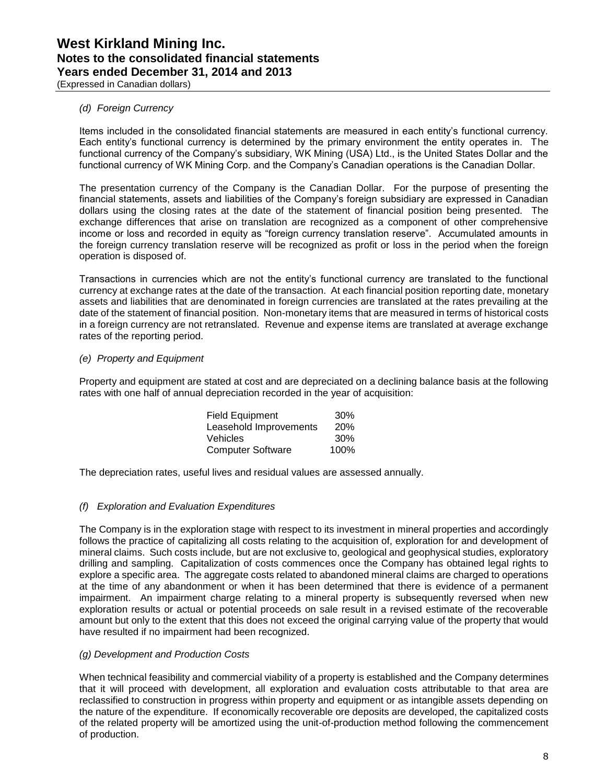### *(d) Foreign Currency*

Items included in the consolidated financial statements are measured in each entity's functional currency. Each entity's functional currency is determined by the primary environment the entity operates in. The functional currency of the Company's subsidiary, WK Mining (USA) Ltd., is the United States Dollar and the functional currency of WK Mining Corp. and the Company's Canadian operations is the Canadian Dollar.

The presentation currency of the Company is the Canadian Dollar. For the purpose of presenting the financial statements, assets and liabilities of the Company's foreign subsidiary are expressed in Canadian dollars using the closing rates at the date of the statement of financial position being presented. The exchange differences that arise on translation are recognized as a component of other comprehensive income or loss and recorded in equity as "foreign currency translation reserve". Accumulated amounts in the foreign currency translation reserve will be recognized as profit or loss in the period when the foreign operation is disposed of.

Transactions in currencies which are not the entity's functional currency are translated to the functional currency at exchange rates at the date of the transaction. At each financial position reporting date, monetary assets and liabilities that are denominated in foreign currencies are translated at the rates prevailing at the date of the statement of financial position. Non-monetary items that are measured in terms of historical costs in a foreign currency are not retranslated. Revenue and expense items are translated at average exchange rates of the reporting period.

### *(e) Property and Equipment*

Property and equipment are stated at cost and are depreciated on a declining balance basis at the following rates with one half of annual depreciation recorded in the year of acquisition:

| <b>Field Equipment</b>   | 30%        |
|--------------------------|------------|
| Leasehold Improvements   | <b>20%</b> |
| Vehicles                 | 30%        |
| <b>Computer Software</b> | 100%       |

The depreciation rates, useful lives and residual values are assessed annually.

### *(f) Exploration and Evaluation Expenditures*

The Company is in the exploration stage with respect to its investment in mineral properties and accordingly follows the practice of capitalizing all costs relating to the acquisition of, exploration for and development of mineral claims. Such costs include, but are not exclusive to, geological and geophysical studies, exploratory drilling and sampling. Capitalization of costs commences once the Company has obtained legal rights to explore a specific area. The aggregate costs related to abandoned mineral claims are charged to operations at the time of any abandonment or when it has been determined that there is evidence of a permanent impairment. An impairment charge relating to a mineral property is subsequently reversed when new exploration results or actual or potential proceeds on sale result in a revised estimate of the recoverable amount but only to the extent that this does not exceed the original carrying value of the property that would have resulted if no impairment had been recognized.

#### *(g) Development and Production Costs*

When technical feasibility and commercial viability of a property is established and the Company determines that it will proceed with development, all exploration and evaluation costs attributable to that area are reclassified to construction in progress within property and equipment or as intangible assets depending on the nature of the expenditure. If economically recoverable ore deposits are developed, the capitalized costs of the related property will be amortized using the unit-of-production method following the commencement of production.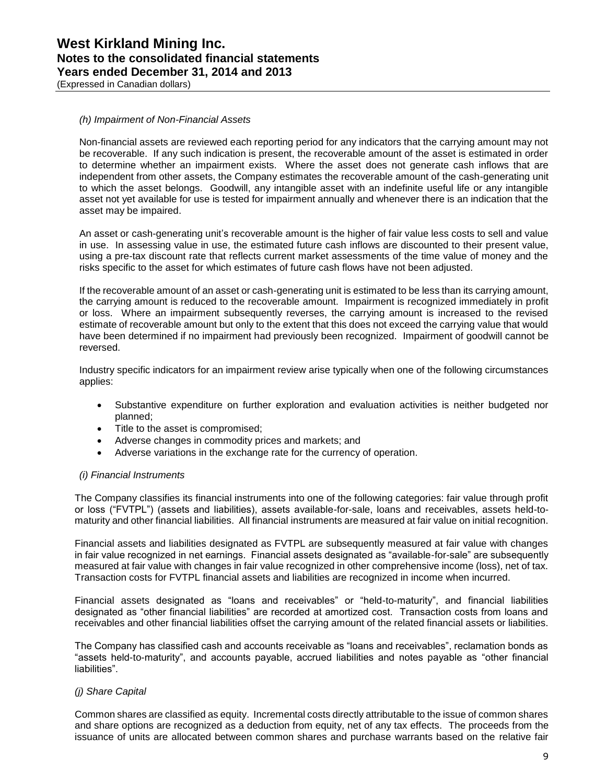(Expressed in Canadian dollars)

#### *(h) Impairment of Non-Financial Assets*

Non-financial assets are reviewed each reporting period for any indicators that the carrying amount may not be recoverable. If any such indication is present, the recoverable amount of the asset is estimated in order to determine whether an impairment exists. Where the asset does not generate cash inflows that are independent from other assets, the Company estimates the recoverable amount of the cash-generating unit to which the asset belongs. Goodwill, any intangible asset with an indefinite useful life or any intangible asset not yet available for use is tested for impairment annually and whenever there is an indication that the asset may be impaired.

An asset or cash-generating unit's recoverable amount is the higher of fair value less costs to sell and value in use. In assessing value in use, the estimated future cash inflows are discounted to their present value, using a pre-tax discount rate that reflects current market assessments of the time value of money and the risks specific to the asset for which estimates of future cash flows have not been adjusted.

If the recoverable amount of an asset or cash-generating unit is estimated to be less than its carrying amount, the carrying amount is reduced to the recoverable amount. Impairment is recognized immediately in profit or loss. Where an impairment subsequently reverses, the carrying amount is increased to the revised estimate of recoverable amount but only to the extent that this does not exceed the carrying value that would have been determined if no impairment had previously been recognized. Impairment of goodwill cannot be reversed.

Industry specific indicators for an impairment review arise typically when one of the following circumstances applies:

- Substantive expenditure on further exploration and evaluation activities is neither budgeted nor planned;
- Title to the asset is compromised;
- Adverse changes in commodity prices and markets; and
- Adverse variations in the exchange rate for the currency of operation.

#### *(i) Financial Instruments*

The Company classifies its financial instruments into one of the following categories: fair value through profit or loss ("FVTPL") (assets and liabilities), assets available-for-sale, loans and receivables, assets held-tomaturity and other financial liabilities. All financial instruments are measured at fair value on initial recognition.

Financial assets and liabilities designated as FVTPL are subsequently measured at fair value with changes in fair value recognized in net earnings. Financial assets designated as "available-for-sale" are subsequently measured at fair value with changes in fair value recognized in other comprehensive income (loss), net of tax. Transaction costs for FVTPL financial assets and liabilities are recognized in income when incurred.

Financial assets designated as "loans and receivables" or "held-to-maturity", and financial liabilities designated as "other financial liabilities" are recorded at amortized cost. Transaction costs from loans and receivables and other financial liabilities offset the carrying amount of the related financial assets or liabilities.

The Company has classified cash and accounts receivable as "loans and receivables", reclamation bonds as "assets held-to-maturity", and accounts payable, accrued liabilities and notes payable as "other financial liabilities".

### *(j) Share Capital*

Common shares are classified as equity. Incremental costs directly attributable to the issue of common shares and share options are recognized as a deduction from equity, net of any tax effects. The proceeds from the issuance of units are allocated between common shares and purchase warrants based on the relative fair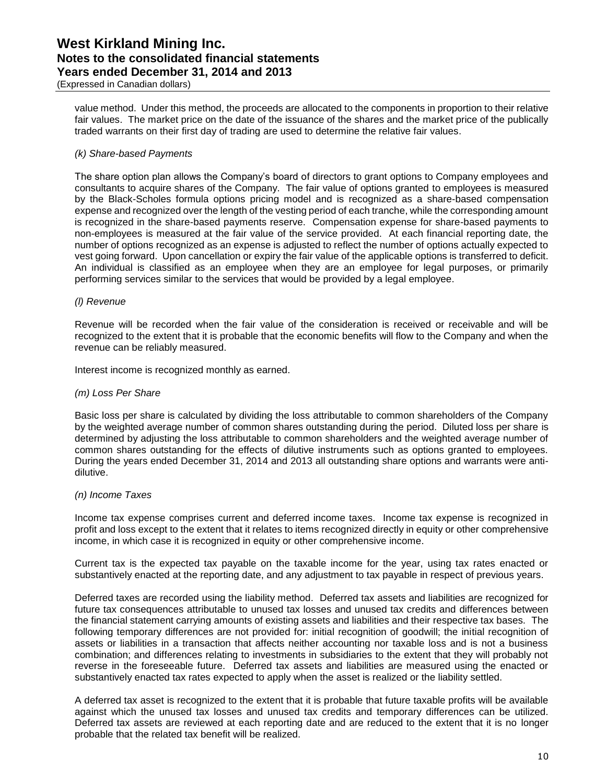(Expressed in Canadian dollars)

value method. Under this method, the proceeds are allocated to the components in proportion to their relative fair values. The market price on the date of the issuance of the shares and the market price of the publically traded warrants on their first day of trading are used to determine the relative fair values.

### *(k) Share-based Payments*

The share option plan allows the Company's board of directors to grant options to Company employees and consultants to acquire shares of the Company. The fair value of options granted to employees is measured by the Black-Scholes formula options pricing model and is recognized as a share-based compensation expense and recognized over the length of the vesting period of each tranche, while the corresponding amount is recognized in the share-based payments reserve. Compensation expense for share-based payments to non-employees is measured at the fair value of the service provided. At each financial reporting date, the number of options recognized as an expense is adjusted to reflect the number of options actually expected to vest going forward. Upon cancellation or expiry the fair value of the applicable options is transferred to deficit. An individual is classified as an employee when they are an employee for legal purposes, or primarily performing services similar to the services that would be provided by a legal employee.

#### *(l) Revenue*

Revenue will be recorded when the fair value of the consideration is received or receivable and will be recognized to the extent that it is probable that the economic benefits will flow to the Company and when the revenue can be reliably measured.

Interest income is recognized monthly as earned.

#### *(m) Loss Per Share*

Basic loss per share is calculated by dividing the loss attributable to common shareholders of the Company by the weighted average number of common shares outstanding during the period. Diluted loss per share is determined by adjusting the loss attributable to common shareholders and the weighted average number of common shares outstanding for the effects of dilutive instruments such as options granted to employees. During the years ended December 31, 2014 and 2013 all outstanding share options and warrants were antidilutive.

#### *(n) Income Taxes*

Income tax expense comprises current and deferred income taxes. Income tax expense is recognized in profit and loss except to the extent that it relates to items recognized directly in equity or other comprehensive income, in which case it is recognized in equity or other comprehensive income.

Current tax is the expected tax payable on the taxable income for the year, using tax rates enacted or substantively enacted at the reporting date, and any adjustment to tax payable in respect of previous years.

Deferred taxes are recorded using the liability method. Deferred tax assets and liabilities are recognized for future tax consequences attributable to unused tax losses and unused tax credits and differences between the financial statement carrying amounts of existing assets and liabilities and their respective tax bases. The following temporary differences are not provided for: initial recognition of goodwill; the initial recognition of assets or liabilities in a transaction that affects neither accounting nor taxable loss and is not a business combination; and differences relating to investments in subsidiaries to the extent that they will probably not reverse in the foreseeable future. Deferred tax assets and liabilities are measured using the enacted or substantively enacted tax rates expected to apply when the asset is realized or the liability settled.

A deferred tax asset is recognized to the extent that it is probable that future taxable profits will be available against which the unused tax losses and unused tax credits and temporary differences can be utilized. Deferred tax assets are reviewed at each reporting date and are reduced to the extent that it is no longer probable that the related tax benefit will be realized.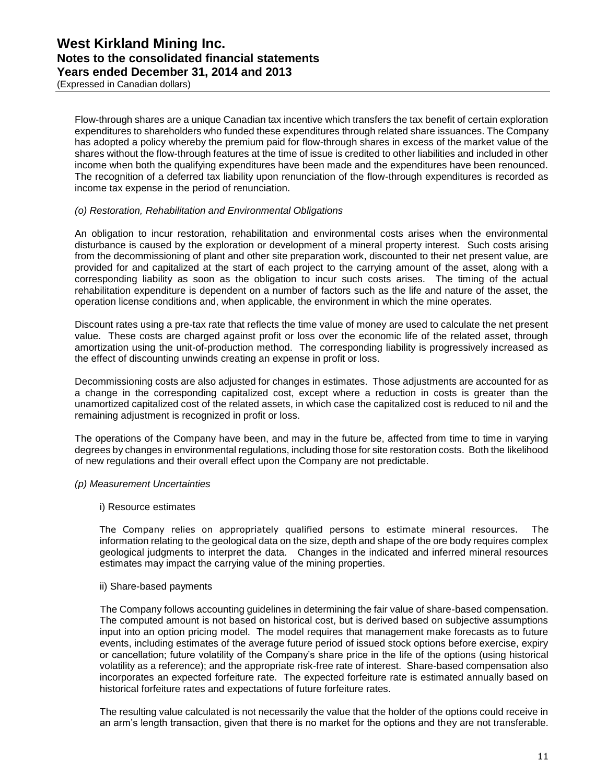(Expressed in Canadian dollars)

Flow-through shares are a unique Canadian tax incentive which transfers the tax benefit of certain exploration expenditures to shareholders who funded these expenditures through related share issuances. The Company has adopted a policy whereby the premium paid for flow-through shares in excess of the market value of the shares without the flow-through features at the time of issue is credited to other liabilities and included in other income when both the qualifying expenditures have been made and the expenditures have been renounced. The recognition of a deferred tax liability upon renunciation of the flow-through expenditures is recorded as income tax expense in the period of renunciation.

#### *(o) Restoration, Rehabilitation and Environmental Obligations*

An obligation to incur restoration, rehabilitation and environmental costs arises when the environmental disturbance is caused by the exploration or development of a mineral property interest. Such costs arising from the decommissioning of plant and other site preparation work, discounted to their net present value, are provided for and capitalized at the start of each project to the carrying amount of the asset, along with a corresponding liability as soon as the obligation to incur such costs arises. The timing of the actual rehabilitation expenditure is dependent on a number of factors such as the life and nature of the asset, the operation license conditions and, when applicable, the environment in which the mine operates.

Discount rates using a pre-tax rate that reflects the time value of money are used to calculate the net present value. These costs are charged against profit or loss over the economic life of the related asset, through amortization using the unit-of-production method. The corresponding liability is progressively increased as the effect of discounting unwinds creating an expense in profit or loss.

Decommissioning costs are also adjusted for changes in estimates. Those adjustments are accounted for as a change in the corresponding capitalized cost, except where a reduction in costs is greater than the unamortized capitalized cost of the related assets, in which case the capitalized cost is reduced to nil and the remaining adjustment is recognized in profit or loss.

The operations of the Company have been, and may in the future be, affected from time to time in varying degrees by changes in environmental regulations, including those for site restoration costs. Both the likelihood of new regulations and their overall effect upon the Company are not predictable.

#### *(p) Measurement Uncertainties*

#### i) Resource estimates

The Company relies on appropriately qualified persons to estimate mineral resources. The information relating to the geological data on the size, depth and shape of the ore body requires complex geological judgments to interpret the data. Changes in the indicated and inferred mineral resources estimates may impact the carrying value of the mining properties.

#### ii) Share-based payments

The Company follows accounting guidelines in determining the fair value of share-based compensation. The computed amount is not based on historical cost, but is derived based on subjective assumptions input into an option pricing model. The model requires that management make forecasts as to future events, including estimates of the average future period of issued stock options before exercise, expiry or cancellation; future volatility of the Company's share price in the life of the options (using historical volatility as a reference); and the appropriate risk-free rate of interest. Share-based compensation also incorporates an expected forfeiture rate. The expected forfeiture rate is estimated annually based on historical forfeiture rates and expectations of future forfeiture rates.

The resulting value calculated is not necessarily the value that the holder of the options could receive in an arm's length transaction, given that there is no market for the options and they are not transferable.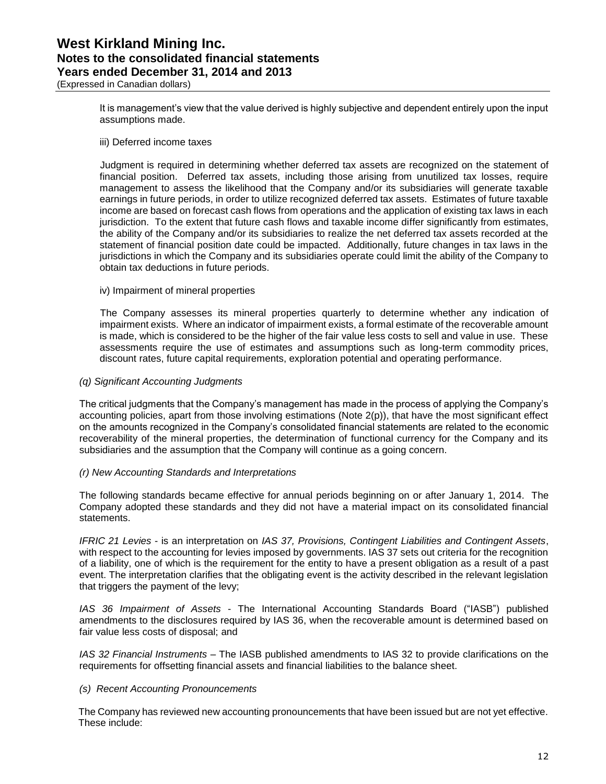It is management's view that the value derived is highly subjective and dependent entirely upon the input assumptions made.

iii) Deferred income taxes

Judgment is required in determining whether deferred tax assets are recognized on the statement of financial position. Deferred tax assets, including those arising from unutilized tax losses, require management to assess the likelihood that the Company and/or its subsidiaries will generate taxable earnings in future periods, in order to utilize recognized deferred tax assets. Estimates of future taxable income are based on forecast cash flows from operations and the application of existing tax laws in each jurisdiction. To the extent that future cash flows and taxable income differ significantly from estimates, the ability of the Company and/or its subsidiaries to realize the net deferred tax assets recorded at the statement of financial position date could be impacted. Additionally, future changes in tax laws in the jurisdictions in which the Company and its subsidiaries operate could limit the ability of the Company to obtain tax deductions in future periods.

iv) Impairment of mineral properties

The Company assesses its mineral properties quarterly to determine whether any indication of impairment exists. Where an indicator of impairment exists, a formal estimate of the recoverable amount is made, which is considered to be the higher of the fair value less costs to sell and value in use. These assessments require the use of estimates and assumptions such as long-term commodity prices, discount rates, future capital requirements, exploration potential and operating performance.

#### *(q) Significant Accounting Judgments*

The critical judgments that the Company's management has made in the process of applying the Company's accounting policies, apart from those involving estimations (Note 2(p)), that have the most significant effect on the amounts recognized in the Company's consolidated financial statements are related to the economic recoverability of the mineral properties, the determination of functional currency for the Company and its subsidiaries and the assumption that the Company will continue as a going concern.

#### *(r) New Accounting Standards and Interpretations*

The following standards became effective for annual periods beginning on or after January 1, 2014. The Company adopted these standards and they did not have a material impact on its consolidated financial statements.

*IFRIC 21 Levies* - is an interpretation on *IAS 37, Provisions, Contingent Liabilities and Contingent Assets*, with respect to the accounting for levies imposed by governments. IAS 37 sets out criteria for the recognition of a liability, one of which is the requirement for the entity to have a present obligation as a result of a past event. The interpretation clarifies that the obligating event is the activity described in the relevant legislation that triggers the payment of the levy;

*IAS 36 Impairment of Assets* - The International Accounting Standards Board ("IASB") published amendments to the disclosures required by IAS 36, when the recoverable amount is determined based on fair value less costs of disposal; and

*IAS 32 Financial Instruments* – The IASB published amendments to IAS 32 to provide clarifications on the requirements for offsetting financial assets and financial liabilities to the balance sheet.

#### *(s) Recent Accounting Pronouncements*

The Company has reviewed new accounting pronouncements that have been issued but are not yet effective. These include: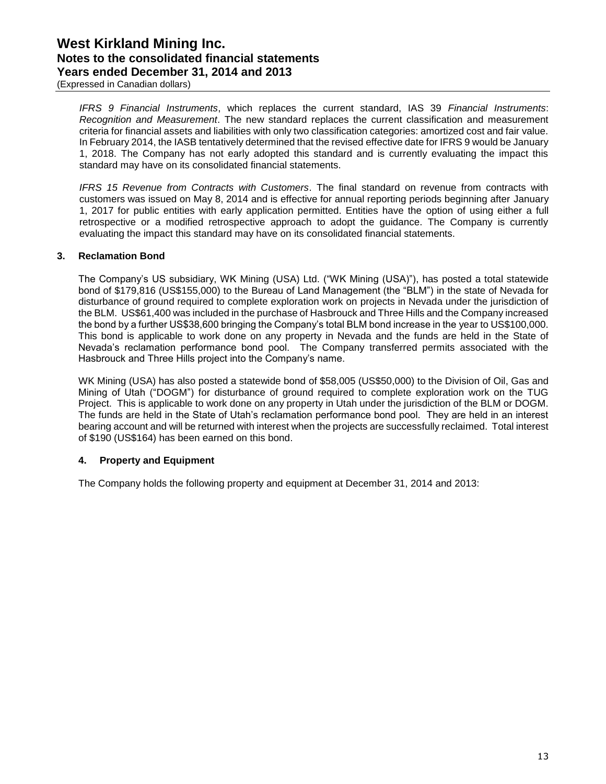(Expressed in Canadian dollars)

*IFRS 9 Financial Instruments*, which replaces the current standard, IAS 39 *Financial Instruments*: *Recognition and Measurement*. The new standard replaces the current classification and measurement criteria for financial assets and liabilities with only two classification categories: amortized cost and fair value. In February 2014, the IASB tentatively determined that the revised effective date for IFRS 9 would be January 1, 2018. The Company has not early adopted this standard and is currently evaluating the impact this standard may have on its consolidated financial statements.

*IFRS 15 Revenue from Contracts with Customers*. The final standard on revenue from contracts with customers was issued on May 8, 2014 and is effective for annual reporting periods beginning after January 1, 2017 for public entities with early application permitted. Entities have the option of using either a full retrospective or a modified retrospective approach to adopt the guidance. The Company is currently evaluating the impact this standard may have on its consolidated financial statements.

### **3. Reclamation Bond**

The Company's US subsidiary, WK Mining (USA) Ltd. ("WK Mining (USA)"), has posted a total statewide bond of \$179,816 (US\$155,000) to the Bureau of Land Management (the "BLM") in the state of Nevada for disturbance of ground required to complete exploration work on projects in Nevada under the jurisdiction of the BLM. US\$61,400 was included in the purchase of Hasbrouck and Three Hills and the Company increased the bond by a further US\$38,600 bringing the Company's total BLM bond increase in the year to US\$100,000. This bond is applicable to work done on any property in Nevada and the funds are held in the State of Nevada's reclamation performance bond pool. The Company transferred permits associated with the Hasbrouck and Three Hills project into the Company's name.

WK Mining (USA) has also posted a statewide bond of \$58,005 (US\$50,000) to the Division of Oil, Gas and Mining of Utah ("DOGM") for disturbance of ground required to complete exploration work on the TUG Project. This is applicable to work done on any property in Utah under the jurisdiction of the BLM or DOGM. The funds are held in the State of Utah's reclamation performance bond pool. They are held in an interest bearing account and will be returned with interest when the projects are successfully reclaimed. Total interest of \$190 (US\$164) has been earned on this bond.

#### **4. Property and Equipment**

The Company holds the following property and equipment at December 31, 2014 and 2013: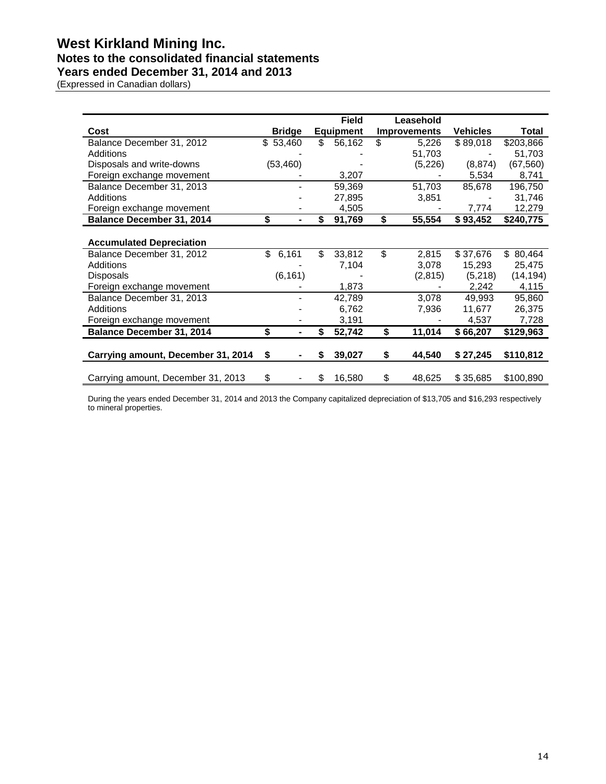# **Notes to the consolidated financial statements**

**Years ended December 31, 2014 and 2013**

(Expressed in Canadian dollars)

|                                    |               | <b>Field</b>     | Leasehold           |                 |              |
|------------------------------------|---------------|------------------|---------------------|-----------------|--------------|
| Cost                               | <b>Bridge</b> | <b>Equipment</b> | <b>Improvements</b> | <b>Vehicles</b> | <b>Total</b> |
| Balance December 31, 2012          | \$53,460      | \$<br>56,162     | \$<br>5,226         | \$89,018        | \$203,866    |
| Additions                          |               |                  | 51,703              |                 | 51,703       |
| Disposals and write-downs          | (53, 460)     |                  | (5,226)             | (8, 874)        | (67, 560)    |
| Foreign exchange movement          |               | 3,207            |                     | 5,534           | 8,741        |
| Balance December 31, 2013          |               | 59,369           | 51,703              | 85,678          | 196,750      |
| <b>Additions</b>                   |               | 27,895           | 3,851               |                 | 31,746       |
| Foreign exchange movement          |               | 4,505            |                     | 7,774           | 12,279       |
| <b>Balance December 31, 2014</b>   | \$            | \$<br>91,769     | \$<br>55,554        | \$93,452        | \$240,775    |
|                                    |               |                  |                     |                 |              |
| <b>Accumulated Depreciation</b>    |               |                  |                     |                 |              |
| Balance December 31, 2012          | \$6,161       | \$<br>33,812     | \$<br>2,815         | \$37,676        | \$80,464     |
| Additions                          |               | 7,104            | 3,078               | 15,293          | 25,475       |
| <b>Disposals</b>                   | (6, 161)      |                  | (2, 815)            | (5,218)         | (14, 194)    |
| Foreign exchange movement          |               | 1,873            |                     | 2,242           | 4,115        |
| Balance December 31, 2013          |               | 42,789           | 3,078               | 49,993          | 95,860       |
| <b>Additions</b>                   |               | 6,762            | 7,936               | 11,677          | 26,375       |
| Foreign exchange movement          |               | 3,191            |                     | 4,537           | 7,728        |
| <b>Balance December 31, 2014</b>   | \$<br>٠       | \$<br>52,742     | \$<br>11,014        | \$66,207        | \$129,963    |
|                                    |               |                  |                     |                 |              |
| Carrying amount, December 31, 2014 | \$            | \$<br>39,027     | \$<br>44,540        | \$27,245        | \$110,812    |
|                                    |               |                  |                     |                 |              |
| Carrying amount, December 31, 2013 | \$            | \$<br>16,580     | \$<br>48,625        | \$35,685        | \$100,890    |

During the years ended December 31, 2014 and 2013 the Company capitalized depreciation of \$13,705 and \$16,293 respectively to mineral properties.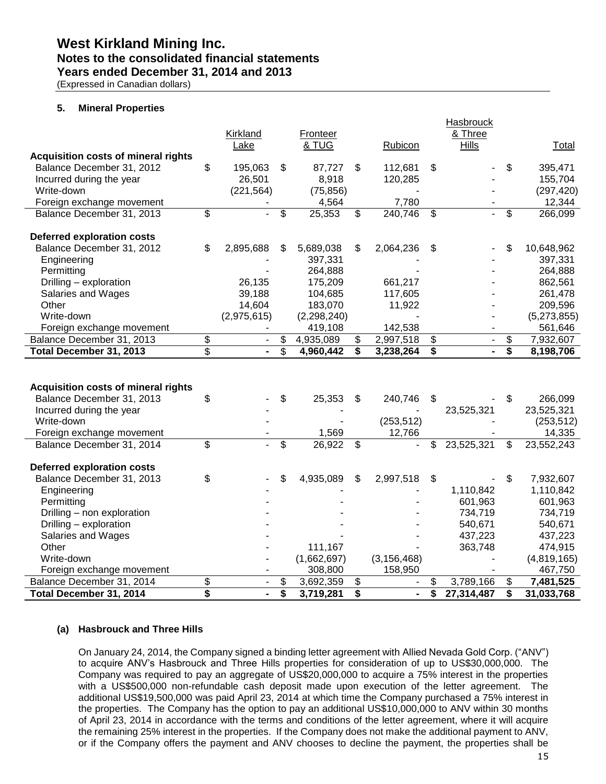# **Notes to the consolidated financial statements**

**Years ended December 31, 2014 and 2013**

(Expressed in Canadian dollars)

## **5. Mineral Properties**

|                                                      |                |                          |                          |                     |                          |               |               | Hasbrouck                    |                             |             |
|------------------------------------------------------|----------------|--------------------------|--------------------------|---------------------|--------------------------|---------------|---------------|------------------------------|-----------------------------|-------------|
|                                                      |                | <b>Kirkland</b>          |                          | <b>Fronteer</b>     |                          |               |               | & Three                      |                             |             |
|                                                      |                | Lake                     |                          | & TUG               |                          | Rubicon       |               | Hills                        |                             | Total       |
| <b>Acquisition costs of mineral rights</b>           |                |                          |                          |                     |                          |               |               |                              |                             |             |
| Balance December 31, 2012                            | \$             | 195,063                  | \$                       | 87,727              | \$                       | 112,681       | \$            |                              | \$                          | 395,471     |
| Incurred during the year                             |                | 26,501                   |                          | 8,918               |                          | 120,285       |               |                              |                             | 155,704     |
| Write-down                                           |                | (221, 564)               |                          | (75, 856)           |                          |               |               |                              |                             | (297, 420)  |
| Foreign exchange movement                            |                |                          |                          | 4,564               |                          | 7,780         |               |                              |                             | 12,344      |
| Balance December 31, 2013                            | \$             |                          | \$                       | 25,353              | $\overline{\mathcal{S}}$ | 240,746       | $\mathsf{\$}$ |                              | \$                          | 266,099     |
| <b>Deferred exploration costs</b>                    |                |                          |                          |                     |                          |               |               |                              |                             |             |
| Balance December 31, 2012                            | $\mathfrak{S}$ | 2,895,688                | \$                       | 5,689,038           | \$                       | 2,064,236     | \$            |                              | \$                          | 10,648,962  |
| Engineering                                          |                |                          |                          | 397,331             |                          |               |               |                              |                             | 397,331     |
| Permitting                                           |                |                          |                          | 264,888             |                          |               |               |                              |                             | 264,888     |
| Drilling - exploration                               |                | 26,135                   |                          | 175,209             |                          | 661,217       |               |                              |                             | 862,561     |
| Salaries and Wages                                   |                | 39,188                   |                          | 104,685             |                          | 117,605       |               |                              |                             | 261,478     |
| Other                                                |                | 14,604                   |                          | 183,070             |                          | 11,922        |               |                              |                             | 209,596     |
| Write-down                                           |                | (2,975,615)              |                          | (2,298,240)         |                          |               |               |                              |                             | (5,273,855) |
| Foreign exchange movement                            |                |                          |                          | 419,108             |                          | 142,538       |               | $\qquad \qquad \blacksquare$ |                             | 561,646     |
| Balance December 31, 2013                            | \$             | $\overline{\phantom{a}}$ | \$                       | 4,935,089           | \$                       | 2,997,518     | \$            | $\blacksquare$               | \$                          | 7,932,607   |
| Total December 31, 2013                              | \$             |                          | $\overline{\mathcal{S}}$ | 4,960,442           | \$                       | 3,238,264     | \$            | $\blacksquare$               | $\overline{\boldsymbol{s}}$ | 8,198,706   |
|                                                      |                |                          |                          |                     |                          |               |               |                              |                             |             |
|                                                      |                |                          |                          |                     |                          |               |               |                              |                             |             |
| <b>Acquisition costs of mineral rights</b>           |                |                          |                          |                     |                          |               |               |                              |                             |             |
| Balance December 31, 2013                            | \$             |                          | \$                       | 25,353              | \$                       | 240,746       | \$            |                              | \$                          | 266,099     |
| Incurred during the year                             |                |                          |                          |                     |                          |               |               | 23,525,321                   |                             | 23,525,321  |
| Write-down                                           |                |                          |                          |                     |                          | (253, 512)    |               |                              |                             | (253, 512)  |
| Foreign exchange movement                            |                |                          |                          | 1,569               |                          | 12,766        |               |                              |                             | 14,335      |
| Balance December 31, 2014                            | \$             |                          |                          |                     |                          |               |               |                              |                             |             |
|                                                      |                | $\mathbf{r}$             | \$                       | $\overline{26,922}$ | $\overline{\mathcal{S}}$ |               | \$            | 23,525,321                   | $\overline{\mathbf{s}}$     | 23,552,243  |
|                                                      |                |                          |                          |                     |                          |               |               |                              |                             |             |
| <b>Deferred exploration costs</b>                    |                |                          |                          |                     |                          |               |               |                              |                             |             |
| Balance December 31, 2013                            | \$             |                          | \$                       | 4,935,089           | \$                       | 2,997,518     | \$            |                              | \$                          | 7,932,607   |
| Engineering                                          |                |                          |                          |                     |                          |               |               | 1,110,842                    |                             | 1,110,842   |
| Permitting                                           |                |                          |                          |                     |                          |               |               | 601,963                      |                             | 601,963     |
| Drilling - non exploration                           |                |                          |                          |                     |                          |               |               | 734,719                      |                             | 734,719     |
| Drilling - exploration                               |                |                          |                          |                     |                          |               |               | 540,671                      |                             | 540,671     |
| Salaries and Wages                                   |                |                          |                          |                     |                          |               |               | 437,223                      |                             | 437,223     |
| Other                                                |                |                          |                          | 111,167             |                          |               |               | 363,748                      |                             | 474,915     |
| Write-down                                           |                |                          |                          | (1,662,697)         |                          | (3, 156, 468) |               |                              |                             | (4,819,165) |
| Foreign exchange movement                            |                |                          |                          | 308,800             |                          | 158,950       |               |                              |                             | 467,750     |
| Balance December 31, 2014<br>Total December 31, 2014 | \$<br>\$       | $\blacksquare$           | \$<br>\$                 | 3,692,359           | \$<br>\$                 |               | \$<br>\$      | 3,789,166<br>27,314,487      | \$<br>\$                    | 7,481,525   |

### **(a) Hasbrouck and Three Hills**

On January 24, 2014, the Company signed a binding letter agreement with Allied Nevada Gold Corp. ("ANV") to acquire ANV's Hasbrouck and Three Hills properties for consideration of up to US\$30,000,000. The Company was required to pay an aggregate of US\$20,000,000 to acquire a 75% interest in the properties with a US\$500,000 non-refundable cash deposit made upon execution of the letter agreement. The additional US\$19,500,000 was paid April 23, 2014 at which time the Company purchased a 75% interest in the properties. The Company has the option to pay an additional US\$10,000,000 to ANV within 30 months of April 23, 2014 in accordance with the terms and conditions of the letter agreement, where it will acquire the remaining 25% interest in the properties. If the Company does not make the additional payment to ANV, or if the Company offers the payment and ANV chooses to decline the payment, the properties shall be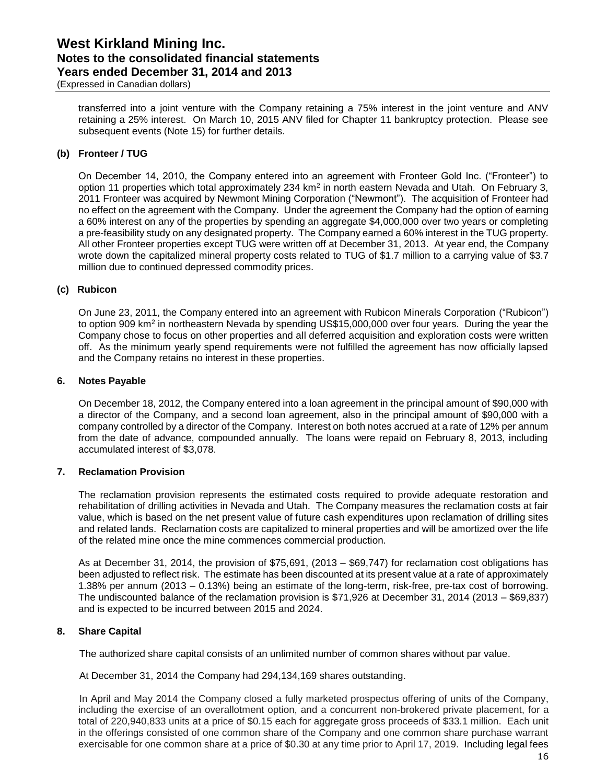(Expressed in Canadian dollars)

transferred into a joint venture with the Company retaining a 75% interest in the joint venture and ANV retaining a 25% interest. On March 10, 2015 ANV filed for Chapter 11 bankruptcy protection. Please see subsequent events (Note 15) for further details.

### **(b) Fronteer / TUG**

On December 14, 2010, the Company entered into an agreement with Fronteer Gold Inc. ("Fronteer") to option 11 properties which total approximately 234 km<sup>2</sup> in north eastern Nevada and Utah. On February 3, 2011 Fronteer was acquired by Newmont Mining Corporation ("Newmont"). The acquisition of Fronteer had no effect on the agreement with the Company. Under the agreement the Company had the option of earning a 60% interest on any of the properties by spending an aggregate \$4,000,000 over two years or completing a pre-feasibility study on any designated property. The Company earned a 60% interest in the TUG property. All other Fronteer properties except TUG were written off at December 31, 2013. At year end, the Company wrote down the capitalized mineral property costs related to TUG of \$1.7 million to a carrying value of \$3.7 million due to continued depressed commodity prices.

#### **(c) Rubicon**

On June 23, 2011, the Company entered into an agreement with Rubicon Minerals Corporation ("Rubicon") to option 909 km<sup>2</sup> in northeastern Nevada by spending US\$15,000,000 over four years. During the year the Company chose to focus on other properties and all deferred acquisition and exploration costs were written off. As the minimum yearly spend requirements were not fulfilled the agreement has now officially lapsed and the Company retains no interest in these properties.

#### **6. Notes Payable**

On December 18, 2012, the Company entered into a loan agreement in the principal amount of \$90,000 with a director of the Company, and a second loan agreement, also in the principal amount of \$90,000 with a company controlled by a director of the Company. Interest on both notes accrued at a rate of 12% per annum from the date of advance, compounded annually. The loans were repaid on February 8, 2013, including accumulated interest of \$3,078.

#### **7. Reclamation Provision**

The reclamation provision represents the estimated costs required to provide adequate restoration and rehabilitation of drilling activities in Nevada and Utah. The Company measures the reclamation costs at fair value, which is based on the net present value of future cash expenditures upon reclamation of drilling sites and related lands. Reclamation costs are capitalized to mineral properties and will be amortized over the life of the related mine once the mine commences commercial production.

As at December 31, 2014, the provision of \$75,691, (2013 – \$69,747) for reclamation cost obligations has been adjusted to reflect risk. The estimate has been discounted at its present value at a rate of approximately 1.38% per annum (2013 – 0.13%) being an estimate of the long-term, risk-free, pre-tax cost of borrowing. The undiscounted balance of the reclamation provision is \$71,926 at December 31, 2014 (2013 – \$69,837) and is expected to be incurred between 2015 and 2024.

#### **8. Share Capital**

The authorized share capital consists of an unlimited number of common shares without par value.

At December 31, 2014 the Company had 294,134,169 shares outstanding.

In April and May 2014 the Company closed a fully marketed prospectus offering of units of the Company, including the exercise of an overallotment option, and a concurrent non-brokered private placement, for a total of 220,940,833 units at a price of \$0.15 each for aggregate gross proceeds of \$33.1 million. Each unit in the offerings consisted of one common share of the Company and one common share purchase warrant exercisable for one common share at a price of \$0.30 at any time prior to April 17, 2019. Including legal fees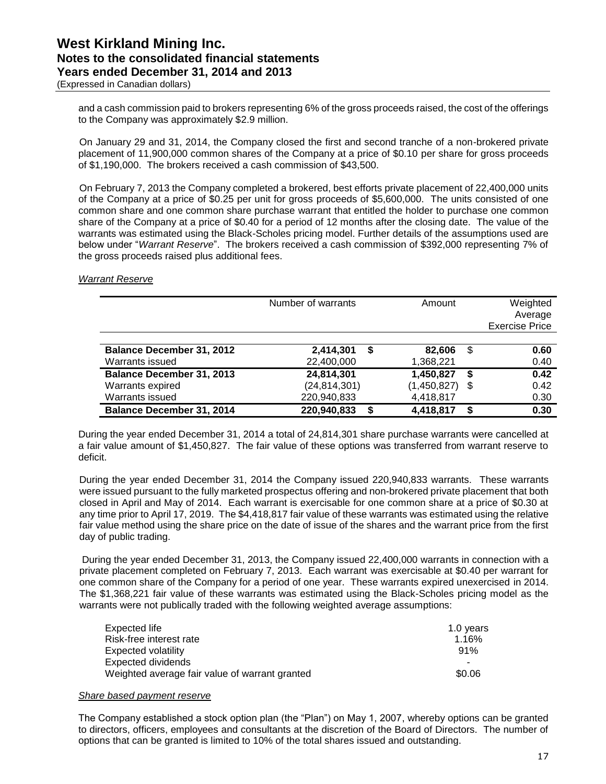(Expressed in Canadian dollars)

and a cash commission paid to brokers representing 6% of the gross proceeds raised, the cost of the offerings to the Company was approximately \$2.9 million.

On January 29 and 31, 2014, the Company closed the first and second tranche of a non-brokered private placement of 11,900,000 common shares of the Company at a price of \$0.10 per share for gross proceeds of \$1,190,000. The brokers received a cash commission of \$43,500.

On February 7, 2013 the Company completed a brokered, best efforts private placement of 22,400,000 units of the Company at a price of \$0.25 per unit for gross proceeds of \$5,600,000. The units consisted of one common share and one common share purchase warrant that entitled the holder to purchase one common share of the Company at a price of \$0.40 for a period of 12 months after the closing date. The value of the warrants was estimated using the Black-Scholes pricing model. Further details of the assumptions used are below under "*Warrant Reserve*". The brokers received a cash commission of \$392,000 representing 7% of the gross proceeds raised plus additional fees.

### *Warrant Reserve*

|                                  | Number of warrants |   | Amount      |    | Weighted<br>Average<br><b>Exercise Price</b> |
|----------------------------------|--------------------|---|-------------|----|----------------------------------------------|
| <b>Balance December 31, 2012</b> | 2,414,301          | S | 82.606      | \$ | 0.60                                         |
| Warrants issued                  | 22,400,000         |   | 1,368,221   |    | 0.40                                         |
| <b>Balance December 31, 2013</b> | 24,814,301         |   | 1,450,827   | S  | 0.42                                         |
| Warrants expired                 | (24, 814, 301)     |   | (1,450,827) | \$ | 0.42                                         |
| Warrants issued                  | 220,940,833        |   | 4,418,817   |    | 0.30                                         |
| <b>Balance December 31, 2014</b> | 220,940,833        |   | 4,418,817   | S  | 0.30                                         |

During the year ended December 31, 2014 a total of 24,814,301 share purchase warrants were cancelled at a fair value amount of \$1,450,827. The fair value of these options was transferred from warrant reserve to deficit.

During the year ended December 31, 2014 the Company issued 220,940,833 warrants. These warrants were issued pursuant to the fully marketed prospectus offering and non-brokered private placement that both closed in April and May of 2014. Each warrant is exercisable for one common share at a price of \$0.30 at any time prior to April 17, 2019. The \$4,418,817 fair value of these warrants was estimated using the relative fair value method using the share price on the date of issue of the shares and the warrant price from the first day of public trading.

During the year ended December 31, 2013, the Company issued 22,400,000 warrants in connection with a private placement completed on February 7, 2013. Each warrant was exercisable at \$0.40 per warrant for one common share of the Company for a period of one year. These warrants expired unexercised in 2014. The \$1,368,221 fair value of these warrants was estimated using the Black-Scholes pricing model as the warrants were not publically traded with the following weighted average assumptions:

| Expected life                                  | 1.0 years |
|------------------------------------------------|-----------|
| Risk-free interest rate                        | $1.16\%$  |
| Expected volatility                            | 91%       |
| Expected dividends                             | ۰         |
| Weighted average fair value of warrant granted | \$0.06    |

#### *Share based payment reserve*

The Company established a stock option plan (the "Plan") on May 1, 2007, whereby options can be granted to directors, officers, employees and consultants at the discretion of the Board of Directors. The number of options that can be granted is limited to 10% of the total shares issued and outstanding.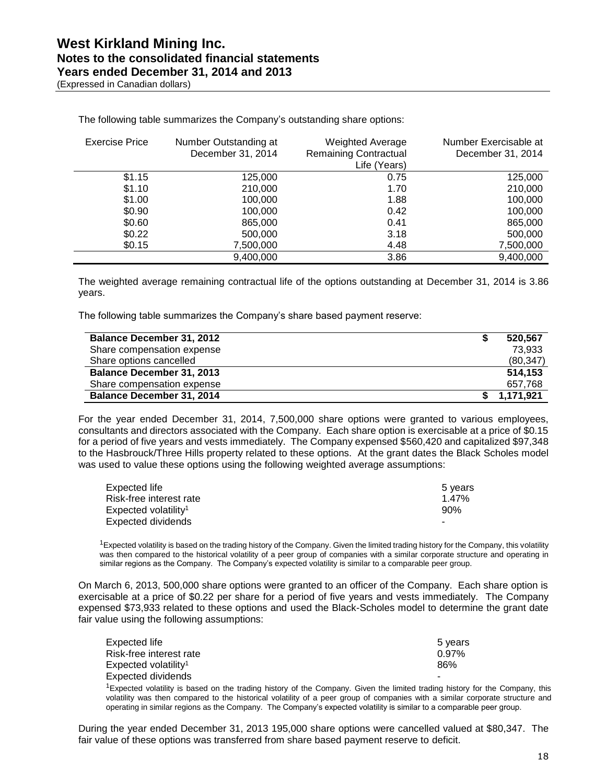| Exercise Price | Number Outstanding at<br>December 31, 2014 | <b>Weighted Average</b><br><b>Remaining Contractual</b><br>Life (Years) | Number Exercisable at<br>December 31, 2014 |
|----------------|--------------------------------------------|-------------------------------------------------------------------------|--------------------------------------------|
| \$1.15         | 125,000                                    | 0.75                                                                    | 125,000                                    |
| \$1.10         | 210,000                                    | 1.70                                                                    | 210,000                                    |
| \$1.00         | 100,000                                    | 1.88                                                                    | 100,000                                    |
| \$0.90         | 100,000                                    | 0.42                                                                    | 100,000                                    |
| \$0.60         | 865,000                                    | 0.41                                                                    | 865,000                                    |
| \$0.22         | 500,000                                    | 3.18                                                                    | 500,000                                    |
| \$0.15         | 7,500,000                                  | 4.48                                                                    | 7,500,000                                  |
|                | 9,400,000                                  | 3.86                                                                    | 9,400,000                                  |

The following table summarizes the Company's outstanding share options:

The weighted average remaining contractual life of the options outstanding at December 31, 2014 is 3.86 years.

The following table summarizes the Company's share based payment reserve:

| <b>Balance December 31, 2012</b> | 520.567   |
|----------------------------------|-----------|
| Share compensation expense       | 73.933    |
| Share options cancelled          | (80, 347) |
| <b>Balance December 31, 2013</b> | 514,153   |
| Share compensation expense       | 657.768   |
| <b>Balance December 31, 2014</b> | 1,171,921 |

For the year ended December 31, 2014, 7,500,000 share options were granted to various employees, consultants and directors associated with the Company. Each share option is exercisable at a price of \$0.15 for a period of five years and vests immediately. The Company expensed \$560,420 and capitalized \$97,348 to the Hasbrouck/Three Hills property related to these options. At the grant dates the Black Scholes model was used to value these options using the following weighted average assumptions:

| Expected life                      | 5 years |
|------------------------------------|---------|
| Risk-free interest rate            | 1.47%   |
| $Expected$ volatility <sup>1</sup> | .90%    |
| Expected dividends                 | -       |

<sup>1</sup>Expected volatility is based on the trading history of the Company. Given the limited trading history for the Company, this volatility was then compared to the historical volatility of a peer group of companies with a similar corporate structure and operating in similar regions as the Company. The Company's expected volatility is similar to a comparable peer group.

On March 6, 2013, 500,000 share options were granted to an officer of the Company. Each share option is exercisable at a price of \$0.22 per share for a period of five years and vests immediately. The Company expensed \$73,933 related to these options and used the Black-Scholes model to determine the grant date fair value using the following assumptions:

| Expected life                    | 5 years |
|----------------------------------|---------|
| Risk-free interest rate          | 0.97%   |
| Expected volatility <sup>1</sup> | 86%     |
| Expected dividends               |         |

<sup>1</sup>Expected volatility is based on the trading history of the Company. Given the limited trading history for the Company, this volatility was then compared to the historical volatility of a peer group of companies with a similar corporate structure and operating in similar regions as the Company. The Company's expected volatility is similar to a comparable peer group.

During the year ended December 31, 2013 195,000 share options were cancelled valued at \$80,347. The fair value of these options was transferred from share based payment reserve to deficit.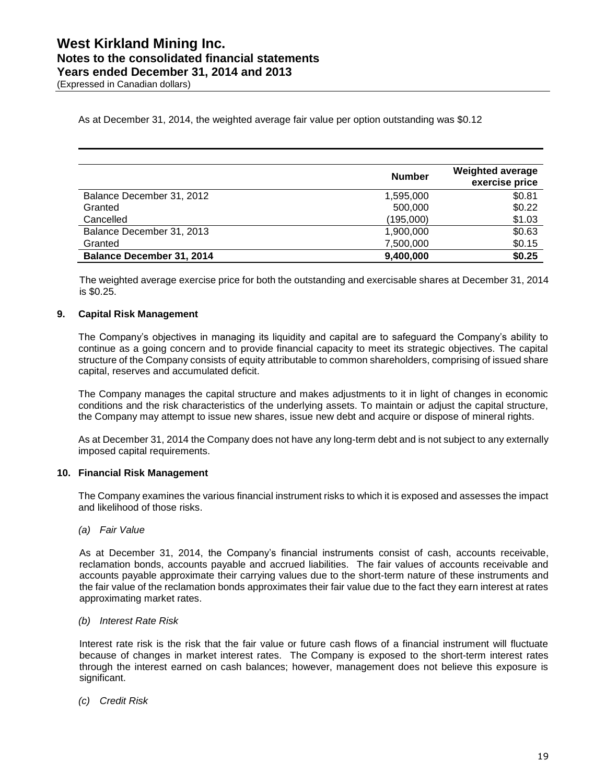As at December 31, 2014, the weighted average fair value per option outstanding was \$0.12

|                                  | <b>Number</b> | <b>Weighted average</b><br>exercise price |
|----------------------------------|---------------|-------------------------------------------|
| Balance December 31, 2012        | 1,595,000     | \$0.81                                    |
| Granted                          | 500,000       | \$0.22                                    |
| Cancelled                        | (195,000)     | \$1.03                                    |
| Balance December 31, 2013        | 1,900,000     | \$0.63                                    |
| Granted                          | 7,500,000     | \$0.15                                    |
| <b>Balance December 31, 2014</b> | 9,400,000     | \$0.25                                    |

The weighted average exercise price for both the outstanding and exercisable shares at December 31, 2014 is \$0.25.

### **9. Capital Risk Management**

The Company's objectives in managing its liquidity and capital are to safeguard the Company's ability to continue as a going concern and to provide financial capacity to meet its strategic objectives. The capital structure of the Company consists of equity attributable to common shareholders, comprising of issued share capital, reserves and accumulated deficit.

The Company manages the capital structure and makes adjustments to it in light of changes in economic conditions and the risk characteristics of the underlying assets. To maintain or adjust the capital structure, the Company may attempt to issue new shares, issue new debt and acquire or dispose of mineral rights.

As at December 31, 2014 the Company does not have any long-term debt and is not subject to any externally imposed capital requirements.

#### **10. Financial Risk Management**

The Company examines the various financial instrument risks to which it is exposed and assesses the impact and likelihood of those risks.

*(a) Fair Value*

As at December 31, 2014, the Company's financial instruments consist of cash, accounts receivable, reclamation bonds, accounts payable and accrued liabilities. The fair values of accounts receivable and accounts payable approximate their carrying values due to the short-term nature of these instruments and the fair value of the reclamation bonds approximates their fair value due to the fact they earn interest at rates approximating market rates.

#### *(b) Interest Rate Risk*

Interest rate risk is the risk that the fair value or future cash flows of a financial instrument will fluctuate because of changes in market interest rates. The Company is exposed to the short-term interest rates through the interest earned on cash balances; however, management does not believe this exposure is significant.

*(c) Credit Risk*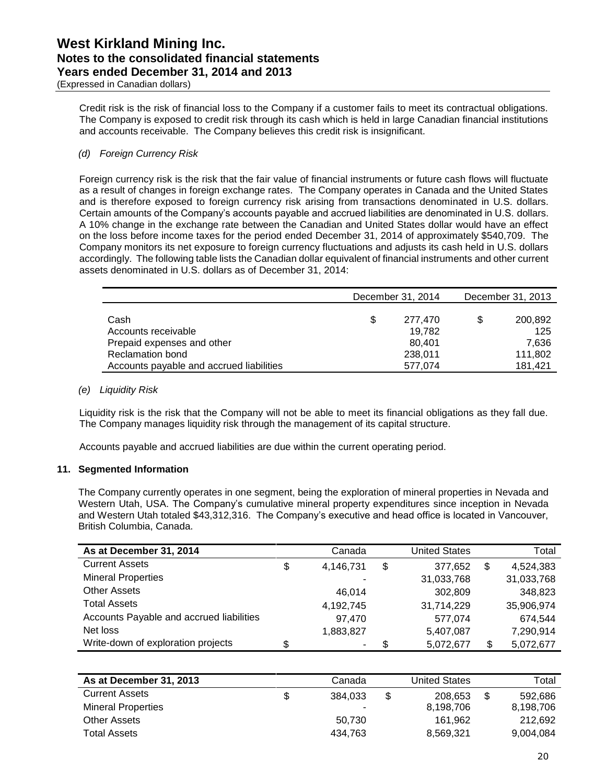(Expressed in Canadian dollars)

Credit risk is the risk of financial loss to the Company if a customer fails to meet its contractual obligations. The Company is exposed to credit risk through its cash which is held in large Canadian financial institutions and accounts receivable. The Company believes this credit risk is insignificant.

### *(d) Foreign Currency Risk*

Foreign currency risk is the risk that the fair value of financial instruments or future cash flows will fluctuate as a result of changes in foreign exchange rates. The Company operates in Canada and the United States and is therefore exposed to foreign currency risk arising from transactions denominated in U.S. dollars. Certain amounts of the Company's accounts payable and accrued liabilities are denominated in U.S. dollars. A 10% change in the exchange rate between the Canadian and United States dollar would have an effect on the loss before income taxes for the period ended December 31, 2014 of approximately \$540,709. The Company monitors its net exposure to foreign currency fluctuations and adjusts its cash held in U.S. dollars accordingly. The following table lists the Canadian dollar equivalent of financial instruments and other current assets denominated in U.S. dollars as of December 31, 2014:

|                                          | December 31, 2014 | December 31, 2013 |         |  |
|------------------------------------------|-------------------|-------------------|---------|--|
|                                          |                   |                   |         |  |
| Cash                                     | \$<br>277.470     | S                 | 200,892 |  |
| Accounts receivable                      | 19.782            |                   | 125     |  |
| Prepaid expenses and other               | 80.401            |                   | 7.636   |  |
| <b>Reclamation bond</b>                  | 238,011           |                   | 111,802 |  |
| Accounts payable and accrued liabilities | 577.074           |                   | 181.421 |  |

#### *(e) Liquidity Risk*

Liquidity risk is the risk that the Company will not be able to meet its financial obligations as they fall due. The Company manages liquidity risk through the management of its capital structure.

Accounts payable and accrued liabilities are due within the current operating period.

#### **11. Segmented Information**

The Company currently operates in one segment, being the exploration of mineral properties in Nevada and Western Utah, USA. The Company's cumulative mineral property expenditures since inception in Nevada and Western Utah totaled \$43,312,316. The Company's executive and head office is located in Vancouver, British Columbia, Canada.

| As at December 31, 2014                  | Canada          | <b>United States</b> |   | Total      |
|------------------------------------------|-----------------|----------------------|---|------------|
| <b>Current Assets</b>                    | \$<br>4,146,731 | \$<br>377,652        |   | 4,524,383  |
| <b>Mineral Properties</b>                | -               | 31,033,768           |   | 31,033,768 |
| <b>Other Assets</b>                      | 46.014          | 302,809              |   | 348,823    |
| <b>Total Assets</b>                      | 4,192,745       | 31,714,229           |   | 35,906,974 |
| Accounts Payable and accrued liabilities | 97.470          | 577.074              |   | 674,544    |
| Net loss                                 | 1,883,827       | 5,407,087            |   | 7,290,914  |
| Write-down of exploration projects       | \$<br>۰         | 5,072,677            | S | 5,072,677  |

| As at December 31, 2013   | Canada        | <b>United States</b> | Total     |
|---------------------------|---------------|----------------------|-----------|
| <b>Current Assets</b>     | \$<br>384.033 | \$<br>208.653        | 592.686   |
| <b>Mineral Properties</b> | ۰             | 8,198,706            | 8,198,706 |
| <b>Other Assets</b>       | 50.730        | 161.962              | 212.692   |
| <b>Total Assets</b>       | 434.763       | 8,569,321            | 9.004.084 |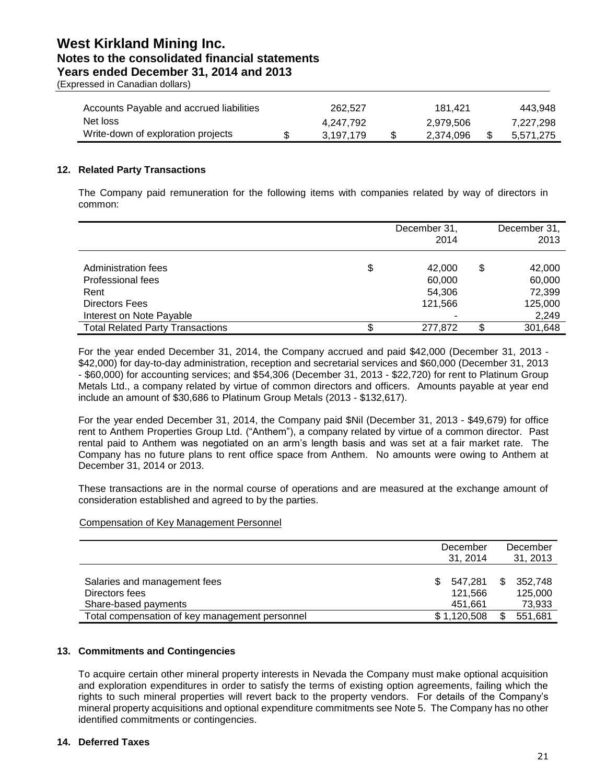(Expressed in Canadian dollars)

| Accounts Payable and accrued liabilities | 262.527   | 181.421   | 443.948   |
|------------------------------------------|-----------|-----------|-----------|
| Net loss                                 | 4.247.792 | 2.979.506 | 7.227.298 |
| Write-down of exploration projects       | 3.197.179 | 2.374.096 | 5.571.275 |

### **12. Related Party Transactions**

The Company paid remuneration for the following items with companies related by way of directors in common:

|                                                                                                | December 31,<br>2014                        | December 31,<br>2013                                 |
|------------------------------------------------------------------------------------------------|---------------------------------------------|------------------------------------------------------|
| Administration fees<br>Professional fees<br>Rent<br>Directors Fees<br>Interest on Note Payable | \$<br>42,000<br>60,000<br>54,306<br>121,566 | \$<br>42,000<br>60,000<br>72,399<br>125,000<br>2,249 |
| <b>Total Related Party Transactions</b>                                                        | 277,872                                     | \$<br>301,648                                        |

For the year ended December 31, 2014, the Company accrued and paid \$42,000 (December 31, 2013 - \$42,000) for day-to-day administration, reception and secretarial services and \$60,000 (December 31, 2013 - \$60,000) for accounting services; and \$54,306 (December 31, 2013 - \$22,720) for rent to Platinum Group Metals Ltd., a company related by virtue of common directors and officers. Amounts payable at year end include an amount of \$30,686 to Platinum Group Metals (2013 - \$132,617).

For the year ended December 31, 2014, the Company paid \$Nil (December 31, 2013 - \$49,679) for office rent to Anthem Properties Group Ltd. ("Anthem"), a company related by virtue of a common director. Past rental paid to Anthem was negotiated on an arm's length basis and was set at a fair market rate. The Company has no future plans to rent office space from Anthem. No amounts were owing to Anthem at December 31, 2014 or 2013.

These transactions are in the normal course of operations and are measured at the exchange amount of consideration established and agreed to by the parties.

#### Compensation of Key Management Personnel

|                                                                        | December<br>31.2014           | December<br>31, 2013                |
|------------------------------------------------------------------------|-------------------------------|-------------------------------------|
| Salaries and management fees<br>Directors fees<br>Share-based payments | 547.281<br>121.566<br>451,661 | \$.<br>352.748<br>125,000<br>73,933 |
| Total compensation of key management personnel                         | \$1,120,508                   | 551,681                             |

#### **13. Commitments and Contingencies**

To acquire certain other mineral property interests in Nevada the Company must make optional acquisition and exploration expenditures in order to satisfy the terms of existing option agreements, failing which the rights to such mineral properties will revert back to the property vendors. For details of the Company's mineral property acquisitions and optional expenditure commitments see Note 5. The Company has no other identified commitments or contingencies.

#### **14. Deferred Taxes**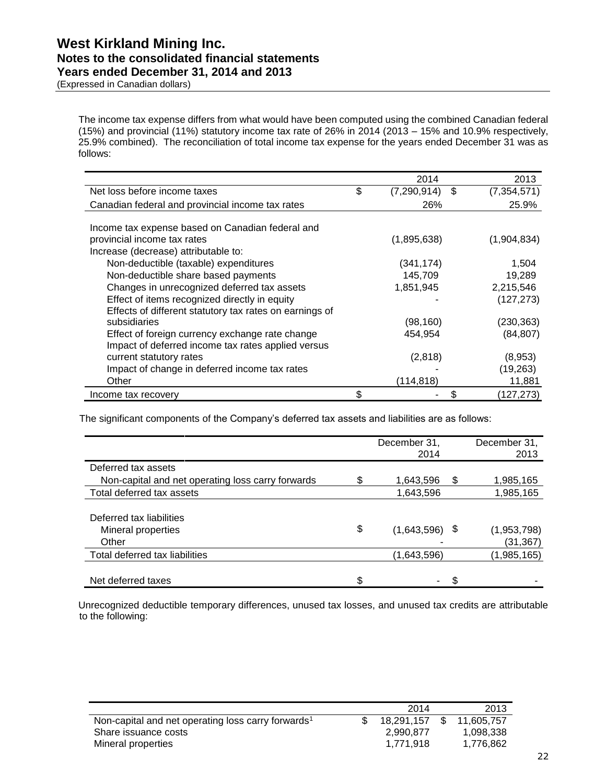(Expressed in Canadian dollars)

The income tax expense differs from what would have been computed using the combined Canadian federal (15%) and provincial (11%) statutory income tax rate of 26% in 2014 (2013 – 15% and 10.9% respectively, 25.9% combined). The reconciliation of total income tax expense for the years ended December 31 was as follows:

|                                                         | 2014                |    | 2013          |
|---------------------------------------------------------|---------------------|----|---------------|
| Net loss before income taxes                            | \$<br>(7, 290, 914) | \$ | (7, 354, 571) |
| Canadian federal and provincial income tax rates        | 26%                 |    | 25.9%         |
|                                                         |                     |    |               |
| Income tax expense based on Canadian federal and        |                     |    |               |
| provincial income tax rates                             | (1,895,638)         |    | (1,904,834)   |
| Increase (decrease) attributable to:                    |                     |    |               |
| Non-deductible (taxable) expenditures                   | (341,174)           |    | 1,504         |
| Non-deductible share based payments                     | 145,709             |    | 19,289        |
| Changes in unrecognized deferred tax assets             | 1,851,945           |    | 2,215,546     |
| Effect of items recognized directly in equity           |                     |    | (127, 273)    |
| Effects of different statutory tax rates on earnings of |                     |    |               |
| subsidiaries                                            | (98,160)            |    | (230, 363)    |
| Effect of foreign currency exchange rate change         | 454.954             |    | (84, 807)     |
| Impact of deferred income tax rates applied versus      |                     |    |               |
| current statutory rates                                 | (2,818)             |    | (8,953)       |
| Impact of change in deferred income tax rates           |                     |    | (19,263)      |
| Other                                                   | (114,818)           |    | 11,881        |
| Income tax recovery                                     | \$                  | S  | (127,273)     |

The significant components of the Company's deferred tax assets and liabilities are as follows:

|                                                         |    | December 31,<br>2014 |    | December 31,<br>2013    |
|---------------------------------------------------------|----|----------------------|----|-------------------------|
| Deferred tax assets                                     |    |                      |    |                         |
| Non-capital and net operating loss carry forwards       | S  | 1,643,596            | \$ | 1,985,165               |
| Total deferred tax assets                               |    | 1,643,596            |    | 1,985,165               |
| Deferred tax liabilities<br>Mineral properties<br>Other | \$ | $(1,643,596)$ \$     |    | (1,953,798)<br>(31,367) |
| Total deferred tax liabilities                          |    | (1,643,596)          |    | (1,985,165)             |
| Net deferred taxes                                      | \$ |                      | S  |                         |

Unrecognized deductible temporary differences, unused tax losses, and unused tax credits are attributable to the following:

|                                                                | 2014       |     | 2013       |
|----------------------------------------------------------------|------------|-----|------------|
| Non-capital and net operating loss carry forwards <sup>1</sup> | 18.291.157 | -\$ | 11.605.757 |
| Share issuance costs                                           | 2.990.877  |     | 1,098,338  |
| Mineral properties                                             | 1.771.918  |     | 1.776.862  |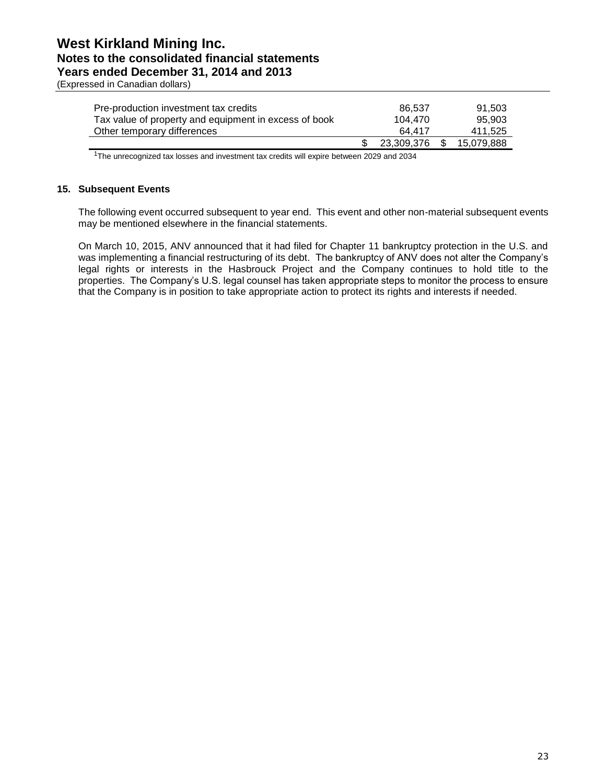(Expressed in Canadian dollars)

| Pre-production investment tax credits                 | 86.537        | 91.503     |
|-------------------------------------------------------|---------------|------------|
| Tax value of property and equipment in excess of book | 104.470       | 95.903     |
| Other temporary differences                           | 64.417        | 411.525    |
|                                                       | 23,309,376 \$ | 15,079,888 |

<sup>1</sup>The unrecognized tax losses and investment tax credits will expire between 2029 and 2034

### **15. Subsequent Events**

The following event occurred subsequent to year end. This event and other non-material subsequent events may be mentioned elsewhere in the financial statements.

On March 10, 2015, ANV announced that it had filed for Chapter 11 bankruptcy protection in the U.S. and was implementing a financial restructuring of its debt. The bankruptcy of ANV does not alter the Company's legal rights or interests in the Hasbrouck Project and the Company continues to hold title to the properties. The Company's U.S. legal counsel has taken appropriate steps to monitor the process to ensure that the Company is in position to take appropriate action to protect its rights and interests if needed.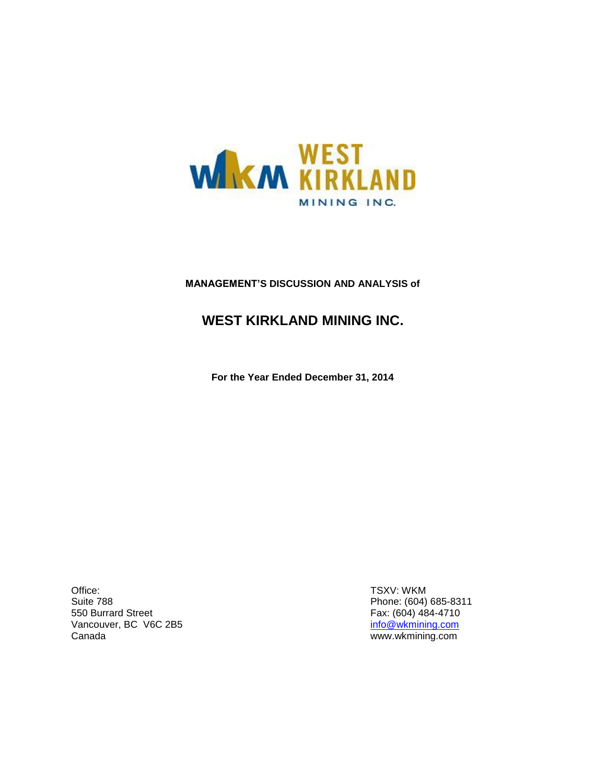

# **MANAGEMENT'S DISCUSSION AND ANALYSIS of**

# **WEST KIRKLAND MINING INC.**

**For the Year Ended December 31, 2014**

Office: Suite 788 550 Burrard Street Vancouver, BC V6C 2B5 Canada

TSXV: WKM Phone: (604) 685-8311 Fax: (604) 484-4710 [info@wkmining.com](mailto:info@wkmining.com) www.wkmining.com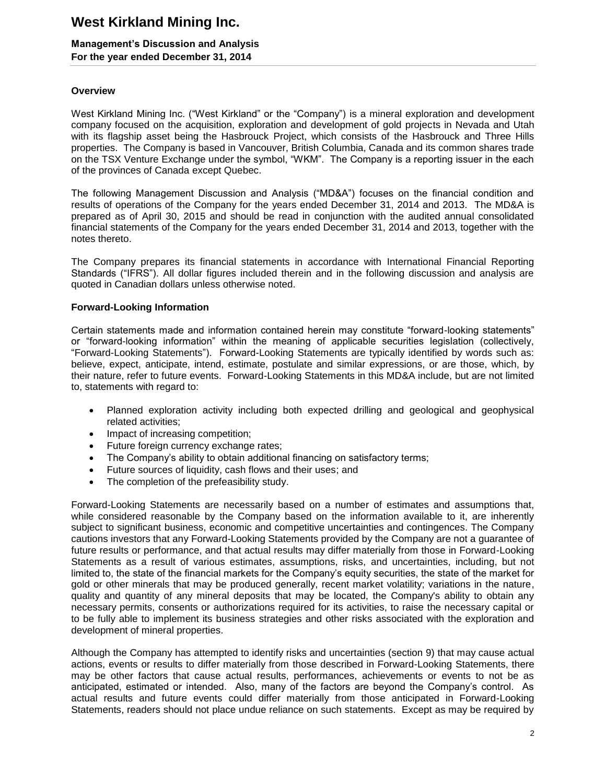## **Management's Discussion and Analysis For the year ended December 31, 2014**

### **Overview**

West Kirkland Mining Inc. ("West Kirkland" or the "Company") is a mineral exploration and development company focused on the acquisition, exploration and development of gold projects in Nevada and Utah with its flagship asset being the Hasbrouck Project, which consists of the Hasbrouck and Three Hills properties. The Company is based in Vancouver, British Columbia, Canada and its common shares trade on the TSX Venture Exchange under the symbol, "WKM". The Company is a reporting issuer in the each of the provinces of Canada except Quebec.

The following Management Discussion and Analysis ("MD&A") focuses on the financial condition and results of operations of the Company for the years ended December 31, 2014 and 2013. The MD&A is prepared as of April 30, 2015 and should be read in conjunction with the audited annual consolidated financial statements of the Company for the years ended December 31, 2014 and 2013, together with the notes thereto.

The Company prepares its financial statements in accordance with International Financial Reporting Standards ("IFRS"). All dollar figures included therein and in the following discussion and analysis are quoted in Canadian dollars unless otherwise noted.

### **Forward-Looking Information**

Certain statements made and information contained herein may constitute "forward-looking statements" or "forward-looking information" within the meaning of applicable securities legislation (collectively, "Forward-Looking Statements"). Forward-Looking Statements are typically identified by words such as: believe, expect, anticipate, intend, estimate, postulate and similar expressions, or are those, which, by their nature, refer to future events. Forward-Looking Statements in this MD&A include, but are not limited to, statements with regard to:

- Planned exploration activity including both expected drilling and geological and geophysical related activities;
- Impact of increasing competition;
- Future foreign currency exchange rates;
- The Company's ability to obtain additional financing on satisfactory terms;
- Future sources of liquidity, cash flows and their uses; and
- The completion of the prefeasibility study.

Forward-Looking Statements are necessarily based on a number of estimates and assumptions that, while considered reasonable by the Company based on the information available to it, are inherently subject to significant business, economic and competitive uncertainties and contingences. The Company cautions investors that any Forward-Looking Statements provided by the Company are not a guarantee of future results or performance, and that actual results may differ materially from those in Forward-Looking Statements as a result of various estimates, assumptions, risks, and uncertainties, including, but not limited to, the state of the financial markets for the Company's equity securities, the state of the market for gold or other minerals that may be produced generally, recent market volatility; variations in the nature, quality and quantity of any mineral deposits that may be located, the Company's ability to obtain any necessary permits, consents or authorizations required for its activities, to raise the necessary capital or to be fully able to implement its business strategies and other risks associated with the exploration and development of mineral properties.

Although the Company has attempted to identify risks and uncertainties (section 9) that may cause actual actions, events or results to differ materially from those described in Forward-Looking Statements, there may be other factors that cause actual results, performances, achievements or events to not be as anticipated, estimated or intended. Also, many of the factors are beyond the Company's control. As actual results and future events could differ materially from those anticipated in Forward-Looking Statements, readers should not place undue reliance on such statements. Except as may be required by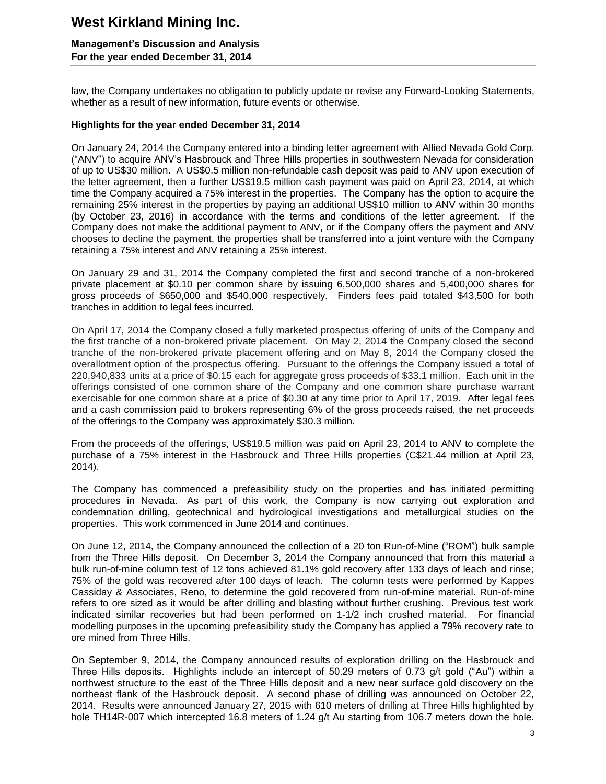### **Management's Discussion and Analysis For the year ended December 31, 2014**

law, the Company undertakes no obligation to publicly update or revise any Forward-Looking Statements, whether as a result of new information, future events or otherwise.

#### **Highlights for the year ended December 31, 2014**

On January 24, 2014 the Company entered into a binding letter agreement with Allied Nevada Gold Corp. ("ANV") to acquire ANV's Hasbrouck and Three Hills properties in southwestern Nevada for consideration of up to US\$30 million. A US\$0.5 million non-refundable cash deposit was paid to ANV upon execution of the letter agreement, then a further US\$19.5 million cash payment was paid on April 23, 2014, at which time the Company acquired a 75% interest in the properties. The Company has the option to acquire the remaining 25% interest in the properties by paying an additional US\$10 million to ANV within 30 months (by October 23, 2016) in accordance with the terms and conditions of the letter agreement. If the Company does not make the additional payment to ANV, or if the Company offers the payment and ANV chooses to decline the payment, the properties shall be transferred into a joint venture with the Company retaining a 75% interest and ANV retaining a 25% interest.

On January 29 and 31, 2014 the Company completed the first and second tranche of a non-brokered private placement at \$0.10 per common share by issuing 6,500,000 shares and 5,400,000 shares for gross proceeds of \$650,000 and \$540,000 respectively. Finders fees paid totaled \$43,500 for both tranches in addition to legal fees incurred.

On April 17, 2014 the Company closed a fully marketed prospectus offering of units of the Company and the first tranche of a non-brokered private placement. On May 2, 2014 the Company closed the second tranche of the non-brokered private placement offering and on May 8, 2014 the Company closed the overallotment option of the prospectus offering. Pursuant to the offerings the Company issued a total of 220,940,833 units at a price of \$0.15 each for aggregate gross proceeds of \$33.1 million. Each unit in the offerings consisted of one common share of the Company and one common share purchase warrant exercisable for one common share at a price of \$0.30 at any time prior to April 17, 2019. After legal fees and a cash commission paid to brokers representing 6% of the gross proceeds raised, the net proceeds of the offerings to the Company was approximately \$30.3 million.

From the proceeds of the offerings, US\$19.5 million was paid on April 23, 2014 to ANV to complete the purchase of a 75% interest in the Hasbrouck and Three Hills properties (C\$21.44 million at April 23, 2014).

The Company has commenced a prefeasibility study on the properties and has initiated permitting procedures in Nevada. As part of this work, the Company is now carrying out exploration and condemnation drilling, geotechnical and hydrological investigations and metallurgical studies on the properties. This work commenced in June 2014 and continues.

On June 12, 2014, the Company announced the collection of a 20 ton Run-of-Mine ("ROM") bulk sample from the Three Hills deposit. On December 3, 2014 the Company announced that from this material a bulk run-of-mine column test of 12 tons achieved 81.1% gold recovery after 133 days of leach and rinse; 75% of the gold was recovered after 100 days of leach. The column tests were performed by Kappes Cassiday & Associates, Reno, to determine the gold recovered from run-of-mine material. Run-of-mine refers to ore sized as it would be after drilling and blasting without further crushing. Previous test work indicated similar recoveries but had been performed on 1-1/2 inch crushed material. For financial modelling purposes in the upcoming prefeasibility study the Company has applied a 79% recovery rate to ore mined from Three Hills.

On September 9, 2014, the Company announced results of exploration drilling on the Hasbrouck and Three Hills deposits. Highlights include an intercept of 50.29 meters of 0.73 g/t gold ("Au") within a northwest structure to the east of the Three Hills deposit and a new near surface gold discovery on the northeast flank of the Hasbrouck deposit. A second phase of drilling was announced on October 22, 2014. Results were announced January 27, 2015 with 610 meters of drilling at Three Hills highlighted by hole TH14R-007 which intercepted 16.8 meters of 1.24 g/t Au starting from 106.7 meters down the hole.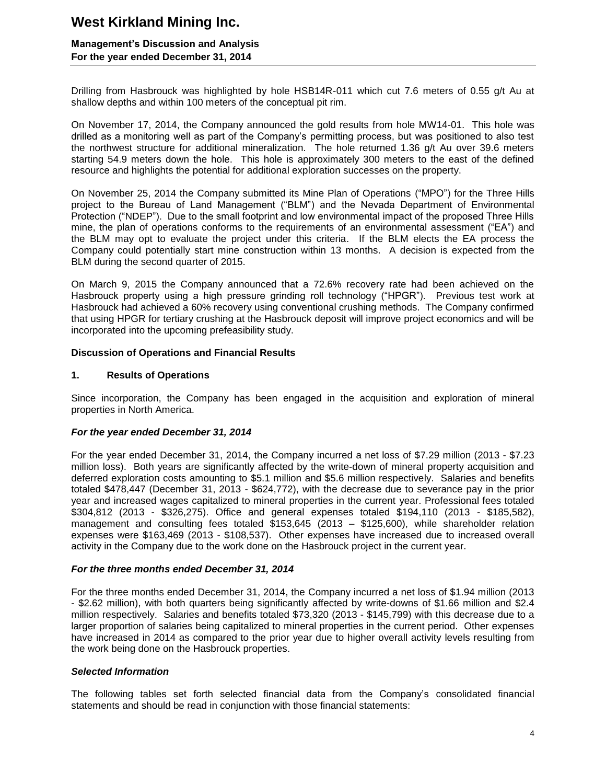### **Management's Discussion and Analysis For the year ended December 31, 2014**

Drilling from Hasbrouck was highlighted by hole HSB14R-011 which cut 7.6 meters of 0.55 g/t Au at shallow depths and within 100 meters of the conceptual pit rim.

On November 17, 2014, the Company announced the gold results from hole MW14-01. This hole was drilled as a monitoring well as part of the Company's permitting process, but was positioned to also test the northwest structure for additional mineralization. The hole returned 1.36 g/t Au over 39.6 meters starting 54.9 meters down the hole. This hole is approximately 300 meters to the east of the defined resource and highlights the potential for additional exploration successes on the property.

On November 25, 2014 the Company submitted its Mine Plan of Operations ("MPO") for the Three Hills project to the Bureau of Land Management ("BLM") and the Nevada Department of Environmental Protection ("NDEP"). Due to the small footprint and low environmental impact of the proposed Three Hills mine, the plan of operations conforms to the requirements of an environmental assessment ("EA") and the BLM may opt to evaluate the project under this criteria. If the BLM elects the EA process the Company could potentially start mine construction within 13 months. A decision is expected from the BLM during the second quarter of 2015.

On March 9, 2015 the Company announced that a 72.6% recovery rate had been achieved on the Hasbrouck property using a high pressure grinding roll technology ("HPGR"). Previous test work at Hasbrouck had achieved a 60% recovery using conventional crushing methods. The Company confirmed that using HPGR for tertiary crushing at the Hasbrouck deposit will improve project economics and will be incorporated into the upcoming prefeasibility study.

#### **Discussion of Operations and Financial Results**

#### **1. Results of Operations**

Since incorporation, the Company has been engaged in the acquisition and exploration of mineral properties in North America.

#### *For the year ended December 31, 2014*

For the year ended December 31, 2014, the Company incurred a net loss of \$7.29 million (2013 - \$7.23 million loss). Both years are significantly affected by the write-down of mineral property acquisition and deferred exploration costs amounting to \$5.1 million and \$5.6 million respectively. Salaries and benefits totaled \$478,447 (December 31, 2013 - \$624,772), with the decrease due to severance pay in the prior year and increased wages capitalized to mineral properties in the current year. Professional fees totaled \$304,812 (2013 - \$326,275). Office and general expenses totaled \$194,110 (2013 - \$185,582), management and consulting fees totaled \$153,645 (2013 – \$125,600), while shareholder relation expenses were \$163,469 (2013 - \$108,537). Other expenses have increased due to increased overall activity in the Company due to the work done on the Hasbrouck project in the current year.

#### *For the three months ended December 31, 2014*

For the three months ended December 31, 2014, the Company incurred a net loss of \$1.94 million (2013 - \$2.62 million), with both quarters being significantly affected by write-downs of \$1.66 million and \$2.4 million respectively. Salaries and benefits totaled \$73,320 (2013 - \$145,799) with this decrease due to a larger proportion of salaries being capitalized to mineral properties in the current period. Other expenses have increased in 2014 as compared to the prior year due to higher overall activity levels resulting from the work being done on the Hasbrouck properties.

#### *Selected Information*

The following tables set forth selected financial data from the Company's consolidated financial statements and should be read in conjunction with those financial statements: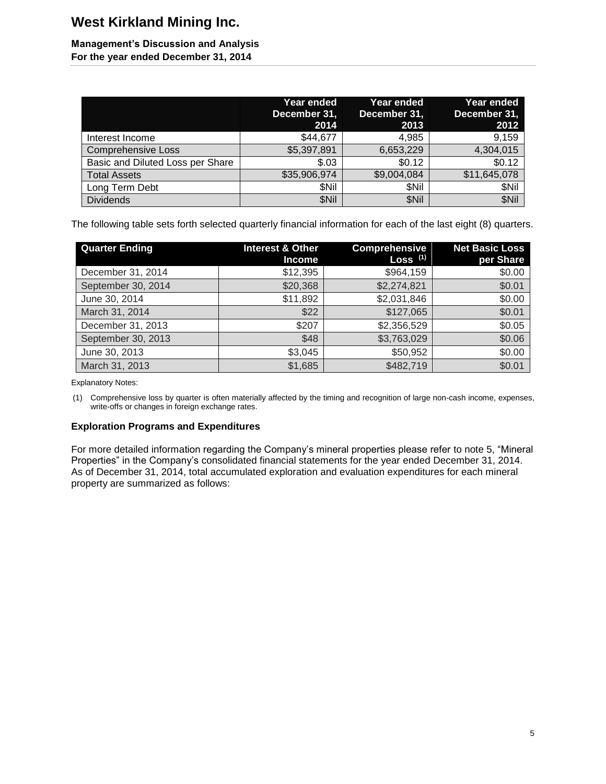## **Management's Discussion and Analysis For the year ended December 31, 2014**

|                                  | Year ended<br>December 31,<br>2014 | Year ended<br>December 31,<br>2013 | Year ended<br>December 31,<br>2012 |
|----------------------------------|------------------------------------|------------------------------------|------------------------------------|
| Interest Income                  | \$44,677                           | 4,985                              | 9,159                              |
| <b>Comprehensive Loss</b>        | \$5,397,891                        | 6,653,229                          | 4,304,015                          |
| Basic and Diluted Loss per Share | \$.03                              | \$0.12                             | \$0.12                             |
| <b>Total Assets</b>              | \$35,906,974                       | \$9,004,084                        | \$11,645,078                       |
| Long Term Debt                   | \$Nil                              | <b>SNil</b>                        | \$Nil                              |
| <b>Dividends</b>                 | \$Nil                              | \$Nil                              | \$Nil                              |

The following table sets forth selected quarterly financial information for each of the last eight (8) quarters.

| <b>Quarter Ending</b> | <b>Interest &amp; Other</b><br><b>Income</b> | <b>Comprehensive</b><br>Loss $(1)$ | <b>Net Basic Loss</b><br>per Share |
|-----------------------|----------------------------------------------|------------------------------------|------------------------------------|
| December 31, 2014     | \$12,395                                     | \$964,159                          | \$0.00                             |
| September 30, 2014    | \$20,368                                     | \$2,274,821                        | \$0.01                             |
| June 30, 2014         | \$11,892                                     | \$2,031,846                        | \$0.00                             |
| March 31, 2014        | \$22                                         | \$127,065                          | \$0.01                             |
| December 31, 2013     | \$207                                        | \$2,356,529                        | \$0.05                             |
| September 30, 2013    | \$48                                         | \$3,763,029                        | \$0.06                             |
| June 30, 2013         | \$3,045                                      | \$50,952                           | \$0.00                             |
| March 31, 2013        | \$1,685                                      | \$482,719                          | \$0.01                             |

Explanatory Notes:

(1) Comprehensive loss by quarter is often materially affected by the timing and recognition of large non-cash income, expenses, write-offs or changes in foreign exchange rates.

### **Exploration Programs and Expenditures**

For more detailed information regarding the Company's mineral properties please refer to note 5, "Mineral Properties" in the Company's consolidated financial statements for the year ended December 31, 2014. As of December 31, 2014, total accumulated exploration and evaluation expenditures for each mineral property are summarized as follows: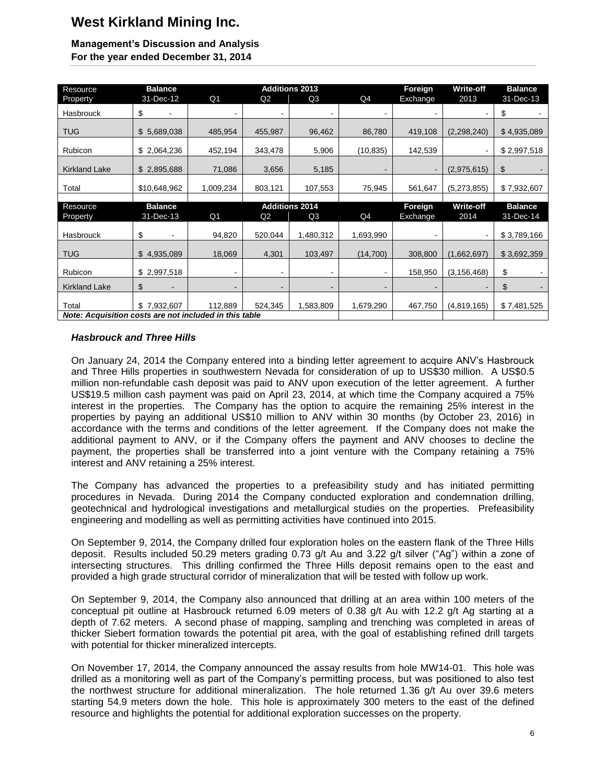# **Management's Discussion and Analysis**

| For the year ended December 31, 2014 |  |  |  |
|--------------------------------------|--|--|--|
|--------------------------------------|--|--|--|

| Resource                                                        | <b>Balance</b>              | <b>Additions 2013</b> |                              |                             |           | Foreign                  | <b>Write-off</b>         | <b>Balance</b>              |
|-----------------------------------------------------------------|-----------------------------|-----------------------|------------------------------|-----------------------------|-----------|--------------------------|--------------------------|-----------------------------|
| Property                                                        | 31-Dec-12                   | Q <sub>1</sub>        | Q2                           | Q3                          | Q4        | Exchange                 | 2013                     | 31-Dec-13                   |
| Hasbrouck                                                       | \$                          | ۰                     | $\qquad \qquad \blacksquare$ |                             |           |                          | $\blacksquare$           | \$                          |
| <b>TUG</b>                                                      | \$5,689,038                 | 485,954               | 455,987                      | 96,462                      | 86,780    | 419,108                  | (2,298,240)              | \$4,935,089                 |
| Rubicon                                                         | \$2,064,236                 | 452,194               | 343,478                      | 5,906                       | (10, 835) | 142,539                  | $\blacksquare$           | \$2,997,518                 |
| <b>Kirkland Lake</b>                                            | \$2,895,688                 | 71,086                | 3,656                        | 5,185                       | -         | $\overline{\phantom{a}}$ | (2,975,615)              | \$                          |
| Total                                                           | \$10,648,962                | 1,009,234             | 803,121                      | 107,553                     | 75,945    | 561,647                  | (5,273,855)              | \$7,932,607                 |
|                                                                 |                             |                       |                              |                             |           |                          |                          |                             |
| Resource<br>Property                                            | <b>Balance</b><br>31-Dec-13 | Q1                    | Q <sub>2</sub>               | <b>Additions 2014</b><br>Q3 | Q4        | Foreign<br>Exchange      | <b>Write-off</b><br>2014 | <b>Balance</b><br>31-Dec-14 |
| Hasbrouck                                                       | \$                          | 94,820                | 520,044                      | 1,480,312                   | 1,693,990 |                          | $\blacksquare$           | \$3,789,166                 |
| <b>TUG</b>                                                      | \$4,935,089                 | 18,069                | 4,301                        | 103,497                     | (14, 700) | 308,800                  | (1,662,697)              | \$3,692,359                 |
| Rubicon                                                         | \$2,997,518                 | ۰                     | $\qquad \qquad \blacksquare$ |                             |           | 158,950                  | (3, 156, 468)            | \$                          |
| <b>Kirkland Lake</b>                                            | \$                          | $\blacksquare$        | $\blacksquare$               |                             |           |                          | $\overline{\phantom{0}}$ | \$                          |
| Total<br>Note: Acquisition costs are not included in this table | \$7,932,607                 | 112,889               | 524,345                      | 1,583,809                   | 1,679,290 | 467,750                  | (4,819,165)              | \$7,481,525                 |

### *Hasbrouck and Three Hills*

On January 24, 2014 the Company entered into a binding letter agreement to acquire ANV's Hasbrouck and Three Hills properties in southwestern Nevada for consideration of up to US\$30 million. A US\$0.5 million non-refundable cash deposit was paid to ANV upon execution of the letter agreement. A further US\$19.5 million cash payment was paid on April 23, 2014, at which time the Company acquired a 75% interest in the properties. The Company has the option to acquire the remaining 25% interest in the properties by paying an additional US\$10 million to ANV within 30 months (by October 23, 2016) in accordance with the terms and conditions of the letter agreement. If the Company does not make the additional payment to ANV, or if the Company offers the payment and ANV chooses to decline the payment, the properties shall be transferred into a joint venture with the Company retaining a 75% interest and ANV retaining a 25% interest.

The Company has advanced the properties to a prefeasibility study and has initiated permitting procedures in Nevada. During 2014 the Company conducted exploration and condemnation drilling, geotechnical and hydrological investigations and metallurgical studies on the properties. Prefeasibility engineering and modelling as well as permitting activities have continued into 2015.

On September 9, 2014, the Company drilled four exploration holes on the eastern flank of the Three Hills deposit. Results included 50.29 meters grading 0.73 g/t Au and 3.22 g/t silver ("Ag") within a zone of intersecting structures. This drilling confirmed the Three Hills deposit remains open to the east and provided a high grade structural corridor of mineralization that will be tested with follow up work.

On September 9, 2014, the Company also announced that drilling at an area within 100 meters of the conceptual pit outline at Hasbrouck returned 6.09 meters of 0.38 g/t Au with 12.2 g/t Ag starting at a depth of 7.62 meters. A second phase of mapping, sampling and trenching was completed in areas of thicker Siebert formation towards the potential pit area, with the goal of establishing refined drill targets with potential for thicker mineralized intercepts.

On November 17, 2014, the Company announced the assay results from hole MW14-01. This hole was drilled as a monitoring well as part of the Company's permitting process, but was positioned to also test the northwest structure for additional mineralization. The hole returned 1.36 g/t Au over 39.6 meters starting 54.9 meters down the hole. This hole is approximately 300 meters to the east of the defined resource and highlights the potential for additional exploration successes on the property.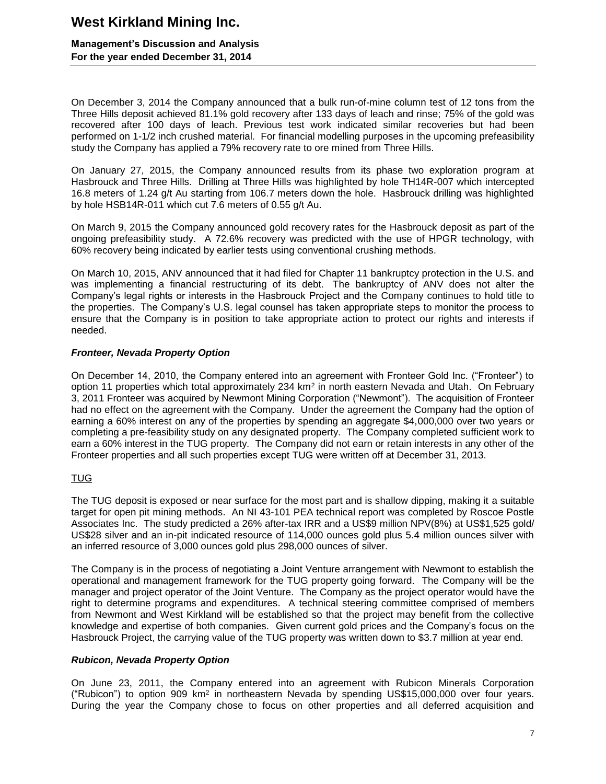### **Management's Discussion and Analysis For the year ended December 31, 2014**

On December 3, 2014 the Company announced that a bulk run-of-mine column test of 12 tons from the Three Hills deposit achieved 81.1% gold recovery after 133 days of leach and rinse; 75% of the gold was recovered after 100 days of leach. Previous test work indicated similar recoveries but had been performed on 1-1/2 inch crushed material. For financial modelling purposes in the upcoming prefeasibility study the Company has applied a 79% recovery rate to ore mined from Three Hills.

On January 27, 2015, the Company announced results from its phase two exploration program at Hasbrouck and Three Hills. Drilling at Three Hills was highlighted by hole TH14R-007 which intercepted 16.8 meters of 1.24 g/t Au starting from 106.7 meters down the hole. Hasbrouck drilling was highlighted by hole HSB14R-011 which cut 7.6 meters of 0.55 g/t Au.

On March 9, 2015 the Company announced gold recovery rates for the Hasbrouck deposit as part of the ongoing prefeasibility study. A 72.6% recovery was predicted with the use of HPGR technology, with 60% recovery being indicated by earlier tests using conventional crushing methods.

On March 10, 2015, ANV announced that it had filed for Chapter 11 bankruptcy protection in the U.S. and was implementing a financial restructuring of its debt. The bankruptcy of ANV does not alter the Company's legal rights or interests in the Hasbrouck Project and the Company continues to hold title to the properties. The Company's U.S. legal counsel has taken appropriate steps to monitor the process to ensure that the Company is in position to take appropriate action to protect our rights and interests if needed.

### *Fronteer, Nevada Property Option*

On December 14, 2010, the Company entered into an agreement with Fronteer Gold Inc. ("Fronteer") to option 11 properties which total approximately 234 km<sup>2</sup> in north eastern Nevada and Utah. On February 3, 2011 Fronteer was acquired by Newmont Mining Corporation ("Newmont"). The acquisition of Fronteer had no effect on the agreement with the Company. Under the agreement the Company had the option of earning a 60% interest on any of the properties by spending an aggregate \$4,000,000 over two years or completing a pre-feasibility study on any designated property. The Company completed sufficient work to earn a 60% interest in the TUG property. The Company did not earn or retain interests in any other of the Fronteer properties and all such properties except TUG were written off at December 31, 2013.

# TUG

The TUG deposit is exposed or near surface for the most part and is shallow dipping, making it a suitable target for open pit mining methods. An NI 43-101 PEA technical report was completed by Roscoe Postle Associates Inc. The study predicted a 26% after-tax IRR and a US\$9 million NPV(8%) at US\$1,525 gold/ US\$28 silver and an in-pit indicated resource of 114,000 ounces gold plus 5.4 million ounces silver with an inferred resource of 3,000 ounces gold plus 298,000 ounces of silver.

The Company is in the process of negotiating a Joint Venture arrangement with Newmont to establish the operational and management framework for the TUG property going forward. The Company will be the manager and project operator of the Joint Venture. The Company as the project operator would have the right to determine programs and expenditures. A technical steering committee comprised of members from Newmont and West Kirkland will be established so that the project may benefit from the collective knowledge and expertise of both companies. Given current gold prices and the Company's focus on the Hasbrouck Project, the carrying value of the TUG property was written down to \$3.7 million at year end.

### *Rubicon, Nevada Property Option*

On June 23, 2011, the Company entered into an agreement with Rubicon Minerals Corporation ("Rubicon") to option 909 km<sup>2</sup> in northeastern Nevada by spending US\$15,000,000 over four years. During the year the Company chose to focus on other properties and all deferred acquisition and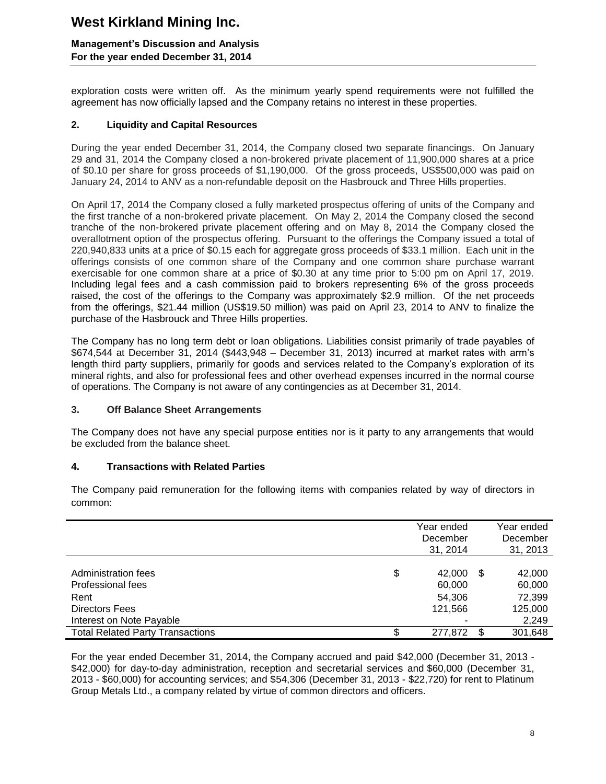### **Management's Discussion and Analysis For the year ended December 31, 2014**

exploration costs were written off. As the minimum yearly spend requirements were not fulfilled the agreement has now officially lapsed and the Company retains no interest in these properties.

### **2. Liquidity and Capital Resources**

During the year ended December 31, 2014, the Company closed two separate financings. On January 29 and 31, 2014 the Company closed a non-brokered private placement of 11,900,000 shares at a price of \$0.10 per share for gross proceeds of \$1,190,000. Of the gross proceeds, US\$500,000 was paid on January 24, 2014 to ANV as a non-refundable deposit on the Hasbrouck and Three Hills properties.

On April 17, 2014 the Company closed a fully marketed prospectus offering of units of the Company and the first tranche of a non-brokered private placement. On May 2, 2014 the Company closed the second tranche of the non-brokered private placement offering and on May 8, 2014 the Company closed the overallotment option of the prospectus offering. Pursuant to the offerings the Company issued a total of 220,940,833 units at a price of \$0.15 each for aggregate gross proceeds of \$33.1 million. Each unit in the offerings consists of one common share of the Company and one common share purchase warrant exercisable for one common share at a price of \$0.30 at any time prior to 5:00 pm on April 17, 2019. Including legal fees and a cash commission paid to brokers representing 6% of the gross proceeds raised, the cost of the offerings to the Company was approximately \$2.9 million. Of the net proceeds from the offerings, \$21.44 million (US\$19.50 million) was paid on April 23, 2014 to ANV to finalize the purchase of the Hasbrouck and Three Hills properties.

The Company has no long term debt or loan obligations. Liabilities consist primarily of trade payables of \$674,544 at December 31, 2014 (\$443,948 – December 31, 2013) incurred at market rates with arm's length third party suppliers, primarily for goods and services related to the Company's exploration of its mineral rights, and also for professional fees and other overhead expenses incurred in the normal course of operations. The Company is not aware of any contingencies as at December 31, 2014.

#### **3. Off Balance Sheet Arrangements**

The Company does not have any special purpose entities nor is it party to any arrangements that would be excluded from the balance sheet.

### **4. Transactions with Related Parties**

The Company paid remuneration for the following items with companies related by way of directors in common:

|                                         | Year ended<br>December<br>31.2014 |      | Year ended<br>December<br>31, 2013 |
|-----------------------------------------|-----------------------------------|------|------------------------------------|
|                                         |                                   |      |                                    |
| Administration fees                     | \$<br>42,000                      | - \$ | 42,000                             |
| Professional fees                       | 60,000                            |      | 60,000                             |
| Rent                                    | 54.306                            |      | 72,399                             |
| Directors Fees                          | 121,566                           |      | 125,000                            |
| Interest on Note Payable                |                                   |      | 2,249                              |
| <b>Total Related Party Transactions</b> | 277.872                           | \$   | 301,648                            |

For the year ended December 31, 2014, the Company accrued and paid \$42,000 (December 31, 2013 - \$42,000) for day-to-day administration, reception and secretarial services and \$60,000 (December 31, 2013 - \$60,000) for accounting services; and \$54,306 (December 31, 2013 - \$22,720) for rent to Platinum Group Metals Ltd., a company related by virtue of common directors and officers.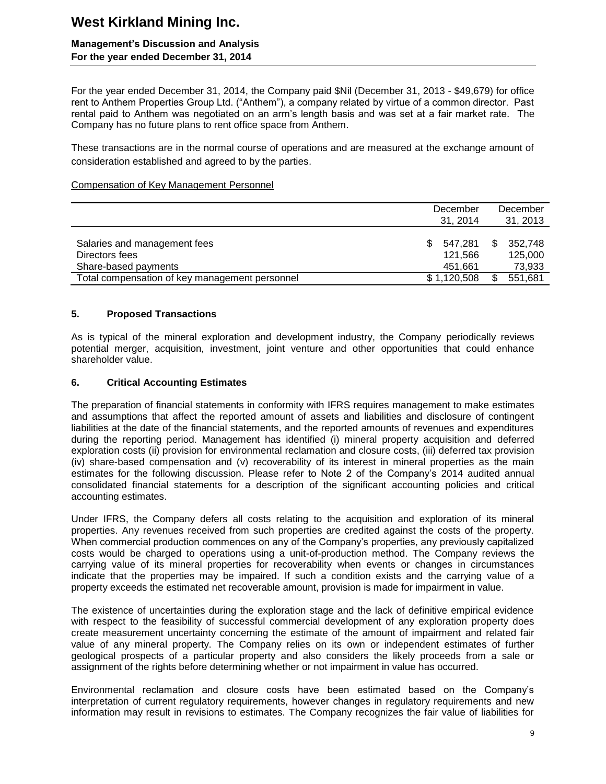### **Management's Discussion and Analysis For the year ended December 31, 2014**

For the year ended December 31, 2014, the Company paid \$Nil (December 31, 2013 - \$49,679) for office rent to Anthem Properties Group Ltd. ("Anthem"), a company related by virtue of a common director. Past rental paid to Anthem was negotiated on an arm's length basis and was set at a fair market rate. The Company has no future plans to rent office space from Anthem.

These transactions are in the normal course of operations and are measured at the exchange amount of consideration established and agreed to by the parties.

#### Compensation of Key Management Personnel

|                                                                        | December<br>31.2014                 | December<br>31, 2013              |
|------------------------------------------------------------------------|-------------------------------------|-----------------------------------|
| Salaries and management fees<br>Directors fees<br>Share-based payments | 547.281<br>S.<br>121.566<br>451,661 | 352,748<br>S<br>125,000<br>73,933 |
| Total compensation of key management personnel                         | \$1,120,508                         | 551,681<br>S                      |

### **5. Proposed Transactions**

As is typical of the mineral exploration and development industry, the Company periodically reviews potential merger, acquisition, investment, joint venture and other opportunities that could enhance shareholder value.

### **6. Critical Accounting Estimates**

The preparation of financial statements in conformity with IFRS requires management to make estimates and assumptions that affect the reported amount of assets and liabilities and disclosure of contingent liabilities at the date of the financial statements, and the reported amounts of revenues and expenditures during the reporting period. Management has identified (i) mineral property acquisition and deferred exploration costs (ii) provision for environmental reclamation and closure costs, (iii) deferred tax provision (iv) share-based compensation and (v) recoverability of its interest in mineral properties as the main estimates for the following discussion. Please refer to Note 2 of the Company's 2014 audited annual consolidated financial statements for a description of the significant accounting policies and critical accounting estimates.

Under IFRS, the Company defers all costs relating to the acquisition and exploration of its mineral properties. Any revenues received from such properties are credited against the costs of the property. When commercial production commences on any of the Company's properties, any previously capitalized costs would be charged to operations using a unit-of-production method. The Company reviews the carrying value of its mineral properties for recoverability when events or changes in circumstances indicate that the properties may be impaired. If such a condition exists and the carrying value of a property exceeds the estimated net recoverable amount, provision is made for impairment in value.

The existence of uncertainties during the exploration stage and the lack of definitive empirical evidence with respect to the feasibility of successful commercial development of any exploration property does create measurement uncertainty concerning the estimate of the amount of impairment and related fair value of any mineral property. The Company relies on its own or independent estimates of further geological prospects of a particular property and also considers the likely proceeds from a sale or assignment of the rights before determining whether or not impairment in value has occurred.

Environmental reclamation and closure costs have been estimated based on the Company's interpretation of current regulatory requirements, however changes in regulatory requirements and new information may result in revisions to estimates. The Company recognizes the fair value of liabilities for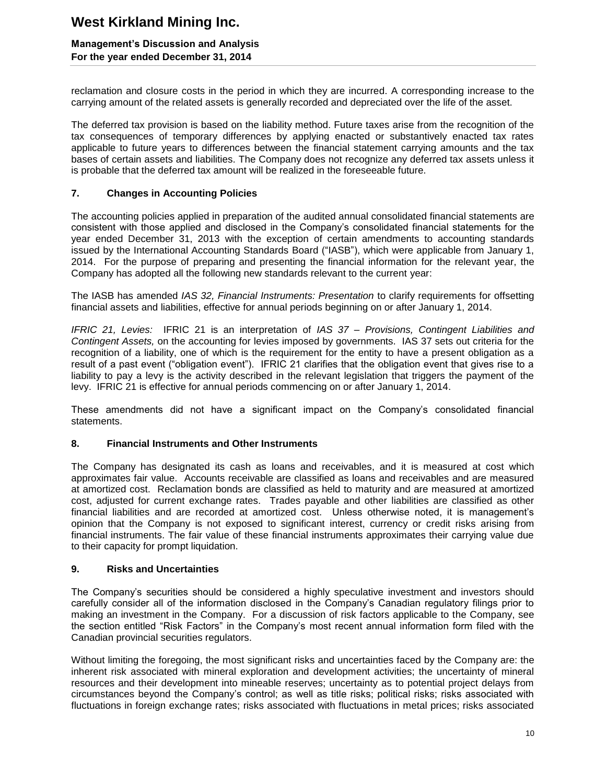## **Management's Discussion and Analysis For the year ended December 31, 2014**

reclamation and closure costs in the period in which they are incurred. A corresponding increase to the carrying amount of the related assets is generally recorded and depreciated over the life of the asset.

The deferred tax provision is based on the liability method. Future taxes arise from the recognition of the tax consequences of temporary differences by applying enacted or substantively enacted tax rates applicable to future years to differences between the financial statement carrying amounts and the tax bases of certain assets and liabilities. The Company does not recognize any deferred tax assets unless it is probable that the deferred tax amount will be realized in the foreseeable future.

### **7. Changes in Accounting Policies**

The accounting policies applied in preparation of the audited annual consolidated financial statements are consistent with those applied and disclosed in the Company's consolidated financial statements for the year ended December 31, 2013 with the exception of certain amendments to accounting standards issued by the International Accounting Standards Board ("IASB"), which were applicable from January 1, 2014. For the purpose of preparing and presenting the financial information for the relevant year, the Company has adopted all the following new standards relevant to the current year:

The IASB has amended *IAS 32, Financial Instruments: Presentation* to clarify requirements for offsetting financial assets and liabilities, effective for annual periods beginning on or after January 1, 2014.

*IFRIC 21, Levies:* IFRIC 21 is an interpretation of *IAS 37 – Provisions, Contingent Liabilities and Contingent Assets,* on the accounting for levies imposed by governments. IAS 37 sets out criteria for the recognition of a liability, one of which is the requirement for the entity to have a present obligation as a result of a past event ("obligation event"). IFRIC 21 clarifies that the obligation event that gives rise to a liability to pay a levy is the activity described in the relevant legislation that triggers the payment of the levy. IFRIC 21 is effective for annual periods commencing on or after January 1, 2014.

These amendments did not have a significant impact on the Company's consolidated financial statements.

#### **8. Financial Instruments and Other Instruments**

The Company has designated its cash as loans and receivables, and it is measured at cost which approximates fair value. Accounts receivable are classified as loans and receivables and are measured at amortized cost. Reclamation bonds are classified as held to maturity and are measured at amortized cost, adjusted for current exchange rates. Trades payable and other liabilities are classified as other financial liabilities and are recorded at amortized cost. Unless otherwise noted, it is management's opinion that the Company is not exposed to significant interest, currency or credit risks arising from financial instruments. The fair value of these financial instruments approximates their carrying value due to their capacity for prompt liquidation.

#### **9. Risks and Uncertainties**

The Company's securities should be considered a highly speculative investment and investors should carefully consider all of the information disclosed in the Company's Canadian regulatory filings prior to making an investment in the Company. For a discussion of risk factors applicable to the Company, see the section entitled "Risk Factors" in the Company's most recent annual information form filed with the Canadian provincial securities regulators.

Without limiting the foregoing, the most significant risks and uncertainties faced by the Company are: the inherent risk associated with mineral exploration and development activities; the uncertainty of mineral resources and their development into mineable reserves; uncertainty as to potential project delays from circumstances beyond the Company's control; as well as title risks; political risks; risks associated with fluctuations in foreign exchange rates; risks associated with fluctuations in metal prices; risks associated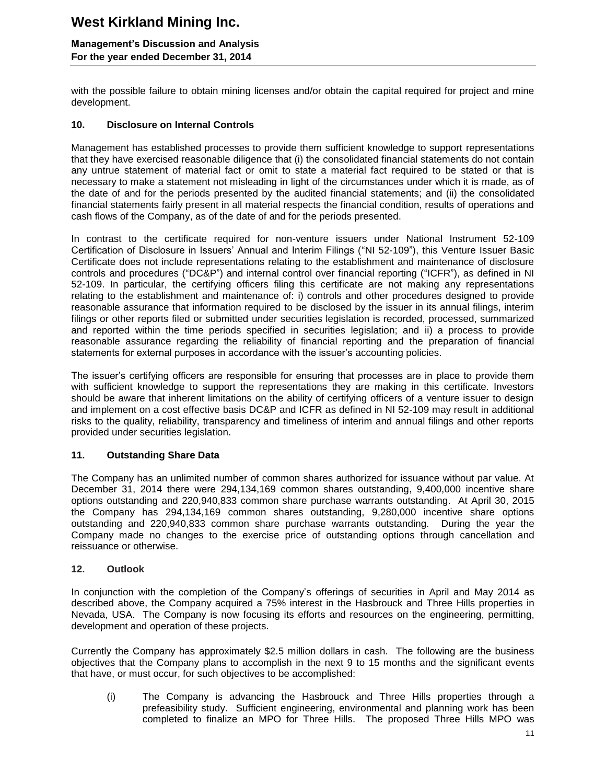### **Management's Discussion and Analysis For the year ended December 31, 2014**

with the possible failure to obtain mining licenses and/or obtain the capital required for project and mine development.

### **10. Disclosure on Internal Controls**

Management has established processes to provide them sufficient knowledge to support representations that they have exercised reasonable diligence that (i) the consolidated financial statements do not contain any untrue statement of material fact or omit to state a material fact required to be stated or that is necessary to make a statement not misleading in light of the circumstances under which it is made, as of the date of and for the periods presented by the audited financial statements; and (ii) the consolidated financial statements fairly present in all material respects the financial condition, results of operations and cash flows of the Company, as of the date of and for the periods presented.

In contrast to the certificate required for non-venture issuers under National Instrument 52-109 Certification of Disclosure in Issuers' Annual and Interim Filings ("NI 52-109"), this Venture Issuer Basic Certificate does not include representations relating to the establishment and maintenance of disclosure controls and procedures ("DC&P") and internal control over financial reporting ("ICFR"), as defined in NI 52-109. In particular, the certifying officers filing this certificate are not making any representations relating to the establishment and maintenance of: i) controls and other procedures designed to provide reasonable assurance that information required to be disclosed by the issuer in its annual filings, interim filings or other reports filed or submitted under securities legislation is recorded, processed, summarized and reported within the time periods specified in securities legislation; and ii) a process to provide reasonable assurance regarding the reliability of financial reporting and the preparation of financial statements for external purposes in accordance with the issuer's accounting policies.

The issuer's certifying officers are responsible for ensuring that processes are in place to provide them with sufficient knowledge to support the representations they are making in this certificate. Investors should be aware that inherent limitations on the ability of certifying officers of a venture issuer to design and implement on a cost effective basis DC&P and ICFR as defined in NI 52-109 may result in additional risks to the quality, reliability, transparency and timeliness of interim and annual filings and other reports provided under securities legislation.

#### **11. Outstanding Share Data**

The Company has an unlimited number of common shares authorized for issuance without par value. At December 31, 2014 there were 294,134,169 common shares outstanding, 9,400,000 incentive share options outstanding and 220,940,833 common share purchase warrants outstanding. At April 30, 2015 the Company has 294,134,169 common shares outstanding, 9,280,000 incentive share options outstanding and 220,940,833 common share purchase warrants outstanding. During the year the Company made no changes to the exercise price of outstanding options through cancellation and reissuance or otherwise.

#### **12. Outlook**

In conjunction with the completion of the Company's offerings of securities in April and May 2014 as described above, the Company acquired a 75% interest in the Hasbrouck and Three Hills properties in Nevada, USA. The Company is now focusing its efforts and resources on the engineering, permitting, development and operation of these projects.

Currently the Company has approximately \$2.5 million dollars in cash. The following are the business objectives that the Company plans to accomplish in the next 9 to 15 months and the significant events that have, or must occur, for such objectives to be accomplished:

(i) The Company is advancing the Hasbrouck and Three Hills properties through a prefeasibility study. Sufficient engineering, environmental and planning work has been completed to finalize an MPO for Three Hills. The proposed Three Hills MPO was